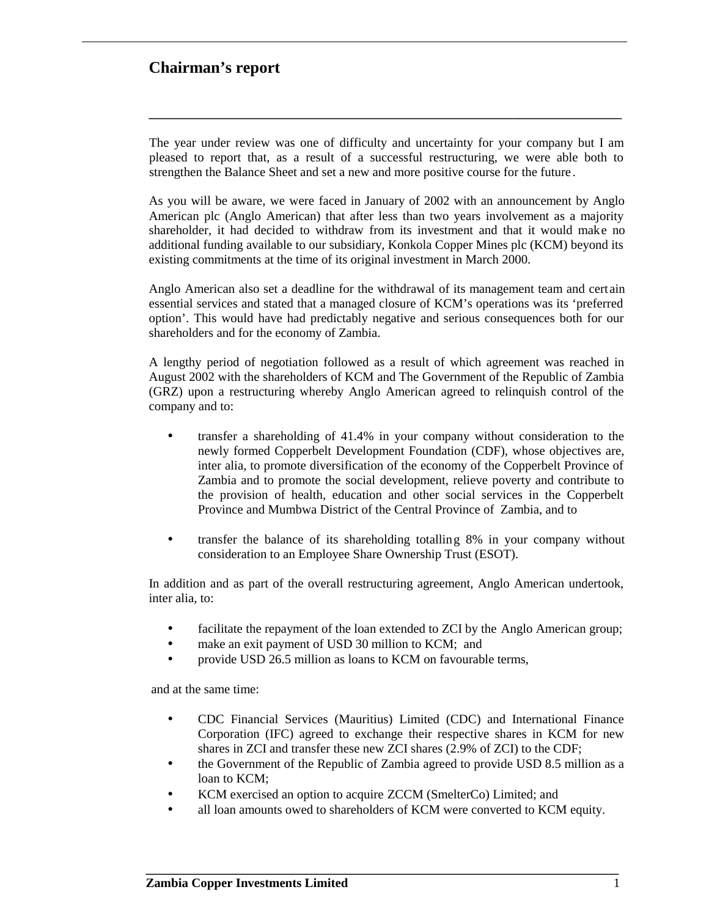### **Chairman's report**

The year under review was one of difficulty and uncertainty for your company but I am pleased to report that, as a result of a successful restructuring, we were able both to strengthen the Balance Sheet and set a new and more positive course for the future.

**\_\_\_\_\_\_\_\_\_\_\_\_\_\_\_\_\_\_\_\_\_\_\_\_\_\_\_\_\_\_\_\_\_\_\_\_\_\_\_\_\_\_\_\_\_\_\_\_\_\_\_\_\_\_\_\_\_\_\_\_\_\_\_\_\_\_\_\_\_\_\_\_\_\_**

As you will be aware, we were faced in January of 2002 with an announcement by Anglo American plc (Anglo American) that after less than two years involvement as a majority shareholder, it had decided to withdraw from its investment and that it would make no additional funding available to our subsidiary, Konkola Copper Mines plc (KCM) beyond its existing commitments at the time of its original investment in March 2000.

Anglo American also set a deadline for the withdrawal of its management team and certain essential services and stated that a managed closure of KCM's operations was its 'preferred option'. This would have had predictably negative and serious consequences both for our shareholders and for the economy of Zambia.

A lengthy period of negotiation followed as a result of which agreement was reached in August 2002 with the shareholders of KCM and The Government of the Republic of Zambia (GRZ) upon a restructuring whereby Anglo American agreed to relinquish control of the company and to:

- transfer a shareholding of 41.4% in your company without consideration to the newly formed Copperbelt Development Foundation (CDF), whose objectives are, inter alia, to promote diversification of the economy of the Copperbelt Province of Zambia and to promote the social development, relieve poverty and contribute to the provision of health, education and other social services in the Copperbelt Province and Mumbwa District of the Central Province of Zambia, and to
- transfer the balance of its shareholding totalling 8% in your company without consideration to an Employee Share Ownership Trust (ESOT).

In addition and as part of the overall restructuring agreement, Anglo American undertook, inter alia, to:

- facilitate the repayment of the loan extended to ZCI by the Anglo American group;
- make an exit payment of USD 30 million to KCM; and
- provide USD 26.5 million as loans to KCM on favourable terms,

and at the same time:

- CDC Financial Services (Mauritius) Limited (CDC) and International Finance Corporation (IFC) agreed to exchange their respective shares in KCM for new shares in ZCI and transfer these new ZCI shares (2.9% of ZCI) to the CDF;
- the Government of the Republic of Zambia agreed to provide USD 8.5 million as a loan to KCM;
- KCM exercised an option to acquire ZCCM (SmelterCo) Limited; and
- all loan amounts owed to shareholders of KCM were converted to KCM equity.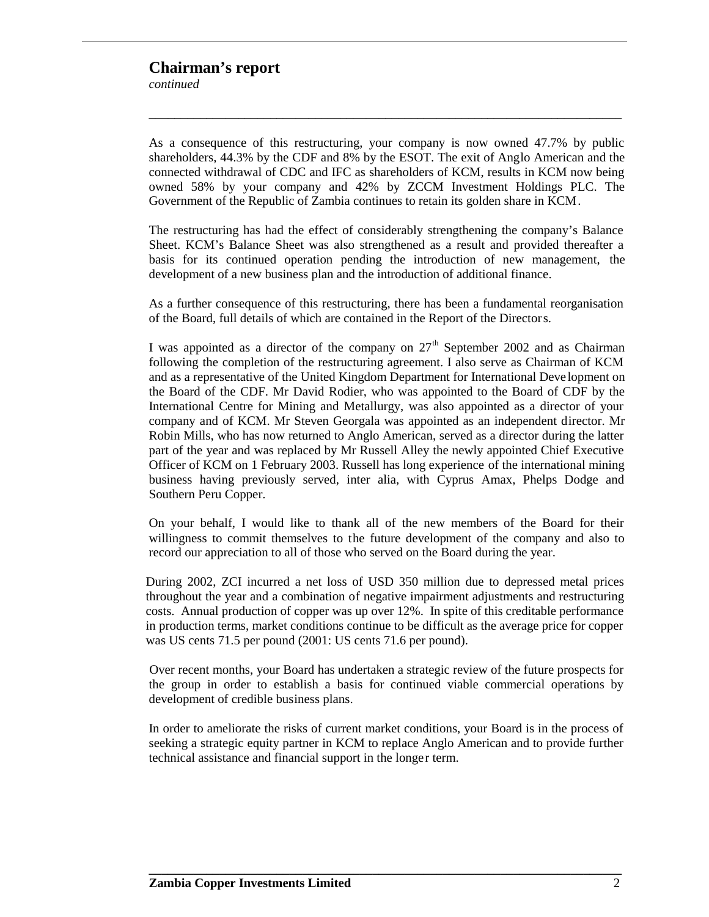### **Chairman's report**

*continued*

As a consequence of this restructuring, your company is now owned 47.7% by public shareholders, 44.3% by the CDF and 8% by the ESOT. The exit of Anglo American and the connected withdrawal of CDC and IFC as shareholders of KCM, results in KCM now being owned 58% by your company and 42% by ZCCM Investment Holdings PLC. The Government of the Republic of Zambia continues to retain its golden share in KCM.

**\_\_\_\_\_\_\_\_\_\_\_\_\_\_\_\_\_\_\_\_\_\_\_\_\_\_\_\_\_\_\_\_\_\_\_\_\_\_\_\_\_\_\_\_\_\_\_\_\_\_\_\_\_\_\_\_\_\_\_\_\_\_\_\_\_\_\_\_\_\_\_\_\_\_**

The restructuring has had the effect of considerably strengthening the company's Balance Sheet. KCM's Balance Sheet was also strengthened as a result and provided thereafter a basis for its continued operation pending the introduction of new management, the development of a new business plan and the introduction of additional finance.

As a further consequence of this restructuring, there has been a fundamental reorganisation of the Board, full details of which are contained in the Report of the Directors.

I was appointed as a director of the company on  $27<sup>th</sup>$  September 2002 and as Chairman following the completion of the restructuring agreement. I also serve as Chairman of KCM and as a representative of the United Kingdom Department for International Deve lopment on the Board of the CDF. Mr David Rodier, who was appointed to the Board of CDF by the International Centre for Mining and Metallurgy, was also appointed as a director of your company and of KCM. Mr Steven Georgala was appointed as an independent director. Mr Robin Mills, who has now returned to Anglo American, served as a director during the latter part of the year and was replaced by Mr Russell Alley the newly appointed Chief Executive Officer of KCM on 1 February 2003. Russell has long experience of the international mining business having previously served, inter alia, with Cyprus Amax, Phelps Dodge and Southern Peru Copper.

On your behalf, I would like to thank all of the new members of the Board for their willingness to commit themselves to the future development of the company and also to record our appreciation to all of those who served on the Board during the year.

During 2002, ZCI incurred a net loss of USD 350 million due to depressed metal prices throughout the year and a combination of negative impairment adjustments and restructuring costs. Annual production of copper was up over 12%. In spite of this creditable performance in production terms, market conditions continue to be difficult as the average price for copper was US cents 71.5 per pound (2001: US cents 71.6 per pound).

Over recent months, your Board has undertaken a strategic review of the future prospects for the group in order to establish a basis for continued viable commercial operations by development of credible business plans.

In order to ameliorate the risks of current market conditions, your Board is in the process of seeking a strategic equity partner in KCM to replace Anglo American and to provide further technical assistance and financial support in the longer term.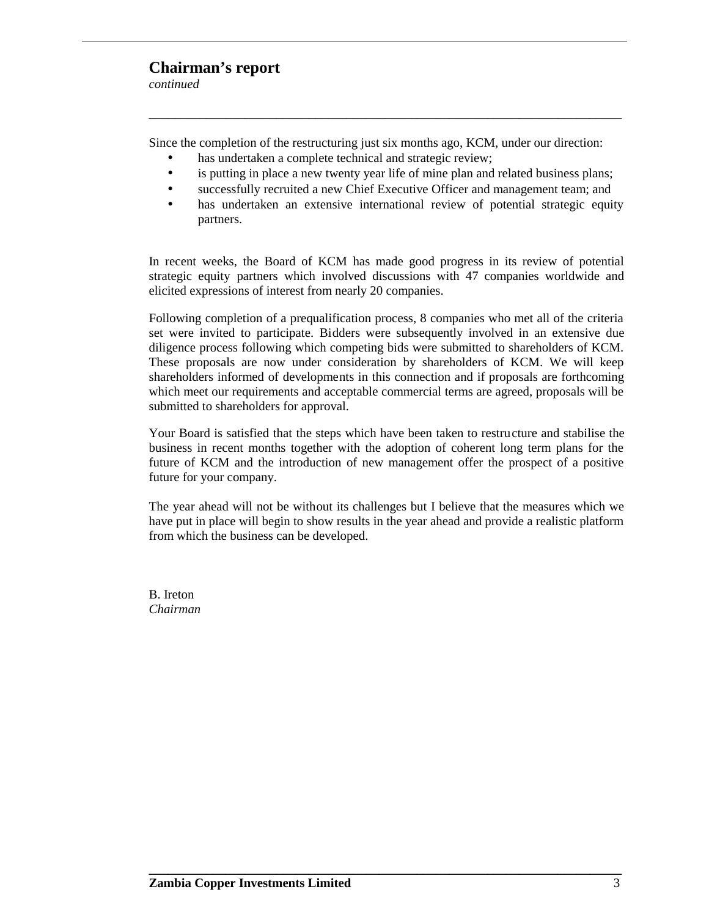### **Chairman's report**

*continued*

Since the completion of the restructuring just six months ago, KCM, under our direction:

**\_\_\_\_\_\_\_\_\_\_\_\_\_\_\_\_\_\_\_\_\_\_\_\_\_\_\_\_\_\_\_\_\_\_\_\_\_\_\_\_\_\_\_\_\_\_\_\_\_\_\_\_\_\_\_\_\_\_\_\_\_\_\_\_\_\_\_\_\_\_\_\_\_\_**

- has undertaken a complete technical and strategic review;
- is putting in place a new twenty year life of mine plan and related business plans;
- successfully recruited a new Chief Executive Officer and management team; and
- has undertaken an extensive international review of potential strategic equity partners.

In recent weeks, the Board of KCM has made good progress in its review of potential strategic equity partners which involved discussions with 47 companies worldwide and elicited expressions of interest from nearly 20 companies.

Following completion of a prequalification process, 8 companies who met all of the criteria set were invited to participate. Bidders were subsequently involved in an extensive due diligence process following which competing bids were submitted to shareholders of KCM. These proposals are now under consideration by shareholders of KCM. We will keep shareholders informed of developments in this connection and if proposals are forthcoming which meet our requirements and acceptable commercial terms are agreed, proposals will be submitted to shareholders for approval.

Your Board is satisfied that the steps which have been taken to restructure and stabilise the business in recent months together with the adoption of coherent long term plans for the future of KCM and the introduction of new management offer the prospect of a positive future for your company.

The year ahead will not be without its challenges but I believe that the measures which we have put in place will begin to show results in the year ahead and provide a realistic platform from which the business can be developed.

**\_\_\_\_\_\_\_\_\_\_\_\_\_\_\_\_\_\_\_\_\_\_\_\_\_\_\_\_\_\_\_\_\_\_\_\_\_\_\_\_\_\_\_\_\_\_\_\_\_\_\_\_\_\_\_\_\_\_\_\_\_\_\_\_\_\_\_\_\_\_\_\_\_\_**

B. Ireton *Chairman*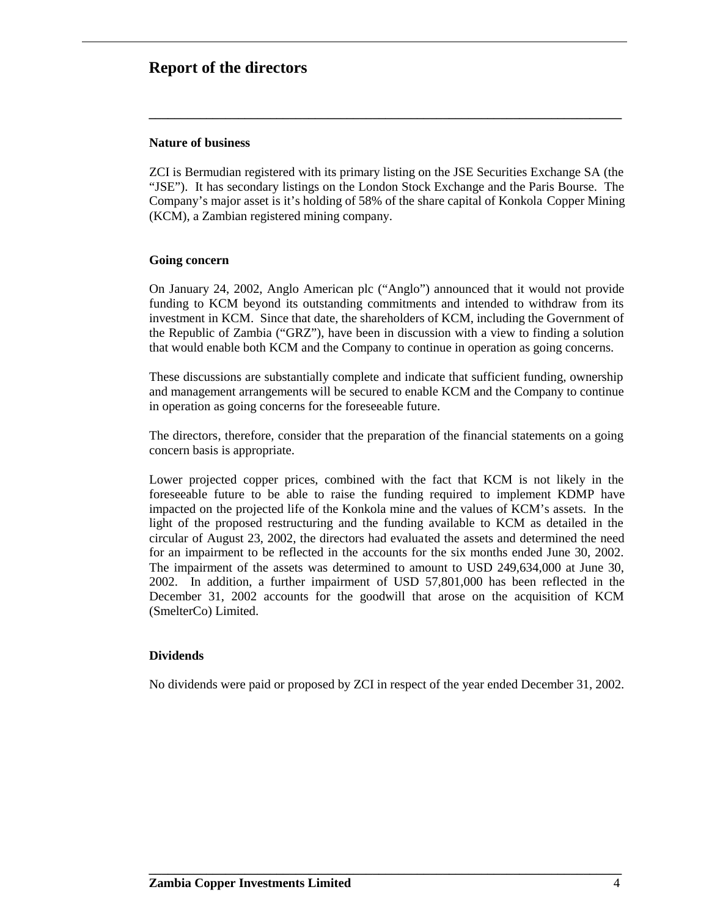### **Report of the directors**

#### **Nature of business**

ZCI is Bermudian registered with its primary listing on the JSE Securities Exchange SA (the "JSE"). It has secondary listings on the London Stock Exchange and the Paris Bourse. The Company's major asset is it's holding of 58% of the share capital of Konkola Copper Mining (KCM), a Zambian registered mining company.

**\_\_\_\_\_\_\_\_\_\_\_\_\_\_\_\_\_\_\_\_\_\_\_\_\_\_\_\_\_\_\_\_\_\_\_\_\_\_\_\_\_\_\_\_\_\_\_\_\_\_\_\_\_\_\_\_\_\_\_\_\_\_\_\_\_\_\_\_\_\_\_\_\_\_**

#### **Going concern**

On January 24, 2002, Anglo American plc ("Anglo") announced that it would not provide funding to KCM beyond its outstanding commitments and intended to withdraw from its investment in KCM. Since that date, the shareholders of KCM, including the Government of the Republic of Zambia ("GRZ"), have been in discussion with a view to finding a solution that would enable both KCM and the Company to continue in operation as going concerns.

These discussions are substantially complete and indicate that sufficient funding, ownership and management arrangements will be secured to enable KCM and the Company to continue in operation as going concerns for the foreseeable future.

The directors, therefore, consider that the preparation of the financial statements on a going concern basis is appropriate.

Lower projected copper prices, combined with the fact that KCM is not likely in the foreseeable future to be able to raise the funding required to implement KDMP have impacted on the projected life of the Konkola mine and the values of KCM's assets. In the light of the proposed restructuring and the funding available to KCM as detailed in the circular of August 23, 2002, the directors had evaluated the assets and determined the need for an impairment to be reflected in the accounts for the six months ended June 30, 2002. The impairment of the assets was determined to amount to USD 249,634,000 at June 30, 2002. In addition, a further impairment of USD 57,801,000 has been reflected in the December 31, 2002 accounts for the goodwill that arose on the acquisition of KCM (SmelterCo) Limited.

#### **Dividends**

No dividends were paid or proposed by ZCI in respect of the year ended December 31, 2002.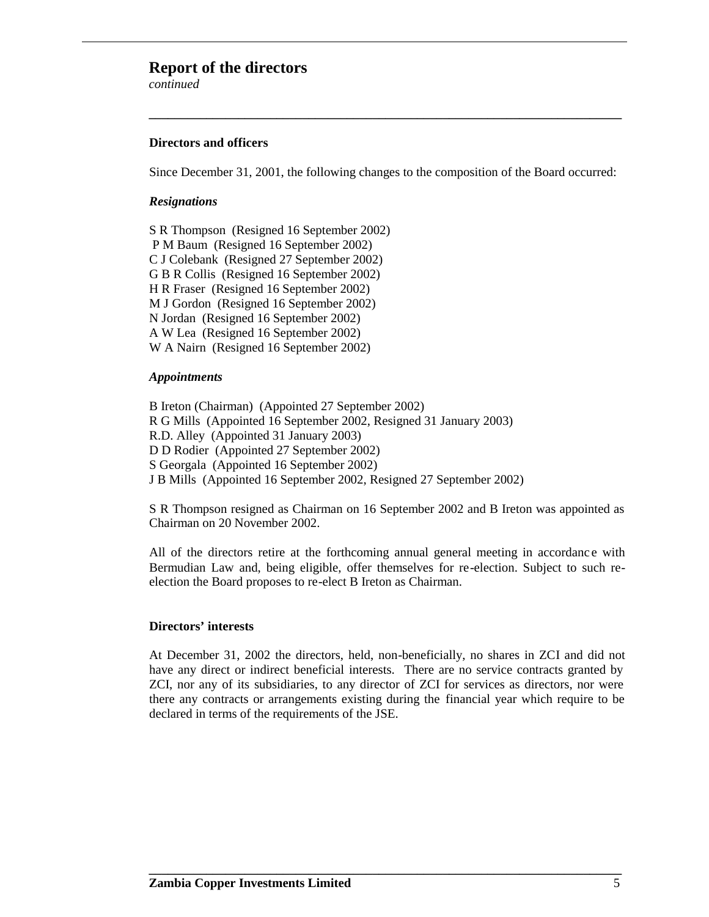### **Report of the directors**

*continued*

#### **Directors and officers**

Since December 31, 2001, the following changes to the composition of the Board occurred:

**\_\_\_\_\_\_\_\_\_\_\_\_\_\_\_\_\_\_\_\_\_\_\_\_\_\_\_\_\_\_\_\_\_\_\_\_\_\_\_\_\_\_\_\_\_\_\_\_\_\_\_\_\_\_\_\_\_\_\_\_\_\_\_\_\_\_\_\_\_\_\_\_\_\_**

#### *Resignations*

S R Thompson (Resigned 16 September 2002) P M Baum (Resigned 16 September 2002) C J Colebank (Resigned 27 September 2002) G B R Collis (Resigned 16 September 2002) H R Fraser (Resigned 16 September 2002) M J Gordon (Resigned 16 September 2002) N Jordan (Resigned 16 September 2002) A W Lea (Resigned 16 September 2002) W A Nairn (Resigned 16 September 2002)

#### *Appointments*

B Ireton (Chairman) (Appointed 27 September 2002) R G Mills (Appointed 16 September 2002, Resigned 31 January 2003) R.D. Alley (Appointed 31 January 2003) D D Rodier (Appointed 27 September 2002) S Georgala (Appointed 16 September 2002) J B Mills (Appointed 16 September 2002, Resigned 27 September 2002)

S R Thompson resigned as Chairman on 16 September 2002 and B Ireton was appointed as Chairman on 20 November 2002.

All of the directors retire at the forthcoming annual general meeting in accordance with Bermudian Law and, being eligible, offer themselves for re-election. Subject to such reelection the Board proposes to re-elect B Ireton as Chairman.

#### **Directors' interests**

At December 31, 2002 the directors, held, non-beneficially, no shares in ZCI and did not have any direct or indirect beneficial interests. There are no service contracts granted by ZCI, nor any of its subsidiaries, to any director of ZCI for services as directors, nor were there any contracts or arrangements existing during the financial year which require to be declared in terms of the requirements of the JSE.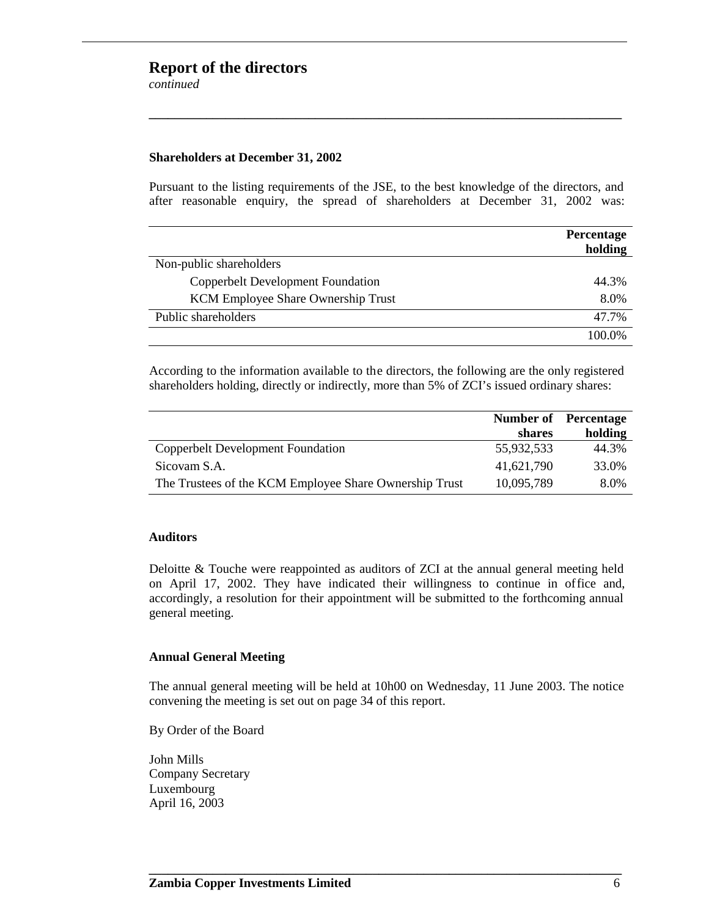### **Report of the directors**

*continued*

#### **Shareholders at December 31, 2002**

Pursuant to the listing requirements of the JSE, to the best knowledge of the directors, and after reasonable enquiry, the spread of shareholders at December 31, 2002 was:

**\_\_\_\_\_\_\_\_\_\_\_\_\_\_\_\_\_\_\_\_\_\_\_\_\_\_\_\_\_\_\_\_\_\_\_\_\_\_\_\_\_\_\_\_\_\_\_\_\_\_\_\_\_\_\_\_\_\_\_\_\_\_\_\_\_\_\_\_\_\_\_\_\_\_**

|                                          | Percentage<br>holding |
|------------------------------------------|-----------------------|
| Non-public shareholders                  |                       |
| <b>Copperbelt Development Foundation</b> | 44.3%                 |
| KCM Employee Share Ownership Trust       | 8.0%                  |
| Public shareholders                      | 47.7%                 |
|                                          | 100.0%                |

According to the information available to the directors, the following are the only registered shareholders holding, directly or indirectly, more than 5% of ZCI's issued ordinary shares:

|                                                        | <b>Number of</b> Percentage |         |
|--------------------------------------------------------|-----------------------------|---------|
|                                                        | shares                      | holding |
| Copperbelt Development Foundation                      | 55,932,533                  | 44.3%   |
| Sicovam S.A.                                           | 41,621,790                  | 33.0%   |
| The Trustees of the KCM Employee Share Ownership Trust | 10,095,789                  | 8.0%    |

#### **Auditors**

Deloitte & Touche were reappointed as auditors of ZCI at the annual general meeting held on April 17, 2002. They have indicated their willingness to continue in office and, accordingly, a resolution for their appointment will be submitted to the forthcoming annual general meeting.

#### **Annual General Meeting**

The annual general meeting will be held at 10h00 on Wednesday, 11 June 2003. The notice convening the meeting is set out on page 34 of this report.

**\_\_\_\_\_\_\_\_\_\_\_\_\_\_\_\_\_\_\_\_\_\_\_\_\_\_\_\_\_\_\_\_\_\_\_\_\_\_\_\_\_\_\_\_\_\_\_\_\_\_\_\_\_\_\_\_\_\_\_\_\_\_\_\_\_\_\_\_\_\_\_\_\_\_**

By Order of the Board

John Mills Company Secretary Luxembourg April 16, 2003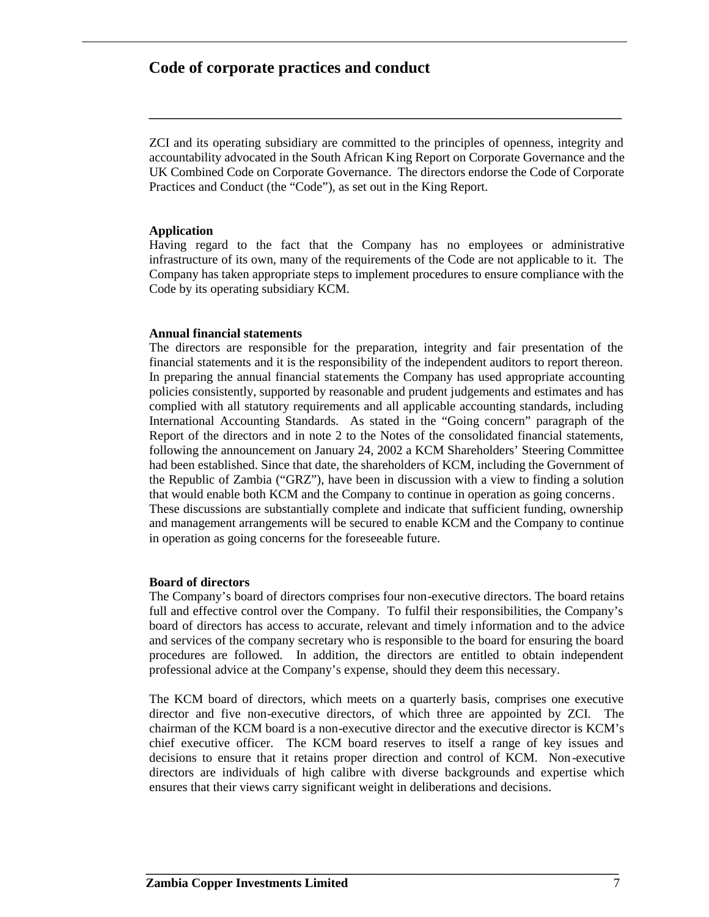### **Code of corporate practices and conduct**

ZCI and its operating subsidiary are committed to the principles of openness, integrity and accountability advocated in the South African King Report on Corporate Governance and the UK Combined Code on Corporate Governance. The directors endorse the Code of Corporate Practices and Conduct (the "Code"), as set out in the King Report.

**\_\_\_\_\_\_\_\_\_\_\_\_\_\_\_\_\_\_\_\_\_\_\_\_\_\_\_\_\_\_\_\_\_\_\_\_\_\_\_\_\_\_\_\_\_\_\_\_\_\_\_\_\_\_\_\_\_\_\_\_\_\_\_\_\_\_\_\_\_\_\_\_\_\_**

#### **Application**

Having regard to the fact that the Company has no employees or administrative infrastructure of its own, many of the requirements of the Code are not applicable to it. The Company has taken appropriate steps to implement procedures to ensure compliance with the Code by its operating subsidiary KCM.

#### **Annual financial statements**

The directors are responsible for the preparation, integrity and fair presentation of the financial statements and it is the responsibility of the independent auditors to report thereon. In preparing the annual financial statements the Company has used appropriate accounting policies consistently, supported by reasonable and prudent judgements and estimates and has complied with all statutory requirements and all applicable accounting standards, including International Accounting Standards. As stated in the "Going concern" paragraph of the Report of the directors and in note 2 to the Notes of the consolidated financial statements, following the announcement on January 24, 2002 a KCM Shareholders' Steering Committee had been established. Since that date, the shareholders of KCM, including the Government of the Republic of Zambia ("GRZ"), have been in discussion with a view to finding a solution that would enable both KCM and the Company to continue in operation as going concerns. These discussions are substantially complete and indicate that sufficient funding, ownership and management arrangements will be secured to enable KCM and the Company to continue in operation as going concerns for the foreseeable future.

#### **Board of directors**

The Company's board of directors comprises four non-executive directors. The board retains full and effective control over the Company. To fulfil their responsibilities, the Company's board of directors has access to accurate, relevant and timely information and to the advice and services of the company secretary who is responsible to the board for ensuring the board procedures are followed. In addition, the directors are entitled to obtain independent professional advice at the Company's expense, should they deem this necessary.

The KCM board of directors, which meets on a quarterly basis, comprises one executive director and five non-executive directors, of which three are appointed by ZCI. The chairman of the KCM board is a non-executive director and the executive director is KCM's chief executive officer. The KCM board reserves to itself a range of key issues and decisions to ensure that it retains proper direction and control of KCM. Non-executive directors are individuals of high calibre with diverse backgrounds and expertise which ensures that their views carry significant weight in deliberations and decisions.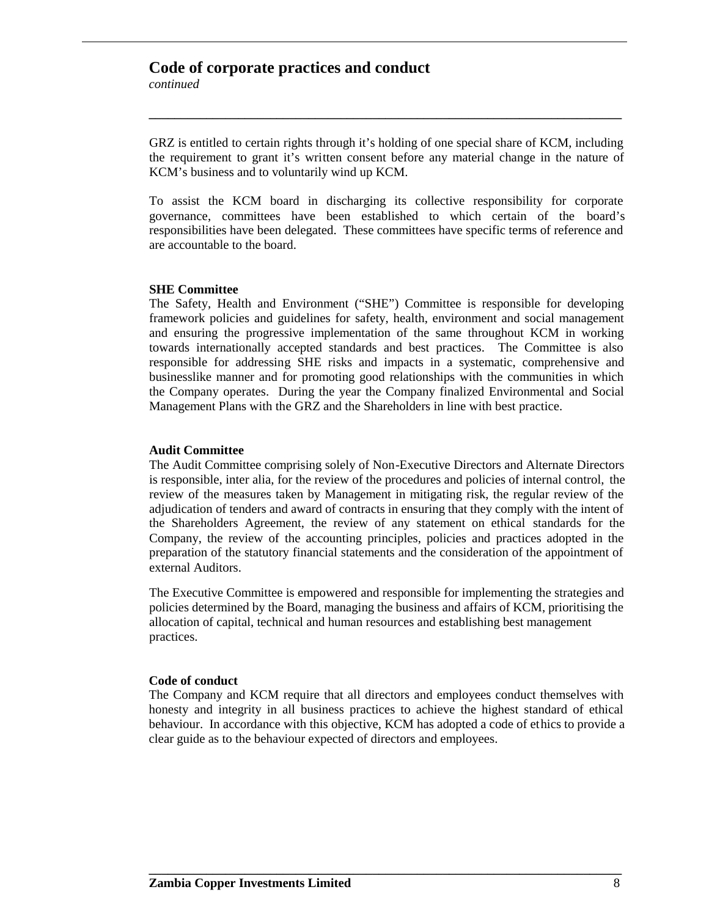### **Code of corporate practices and conduct**

*continued*

GRZ is entitled to certain rights through it's holding of one special share of KCM, including the requirement to grant it's written consent before any material change in the nature of KCM's business and to voluntarily wind up KCM.

**\_\_\_\_\_\_\_\_\_\_\_\_\_\_\_\_\_\_\_\_\_\_\_\_\_\_\_\_\_\_\_\_\_\_\_\_\_\_\_\_\_\_\_\_\_\_\_\_\_\_\_\_\_\_\_\_\_\_\_\_\_\_\_\_\_\_\_\_\_\_\_\_\_\_**

To assist the KCM board in discharging its collective responsibility for corporate governance, committees have been established to which certain of the board's responsibilities have been delegated. These committees have specific terms of reference and are accountable to the board.

#### **SHE Committee**

The Safety, Health and Environment ("SHE") Committee is responsible for developing framework policies and guidelines for safety, health, environment and social management and ensuring the progressive implementation of the same throughout KCM in working towards internationally accepted standards and best practices. The Committee is also responsible for addressing SHE risks and impacts in a systematic, comprehensive and businesslike manner and for promoting good relationships with the communities in which the Company operates. During the year the Company finalized Environmental and Social Management Plans with the GRZ and the Shareholders in line with best practice.

#### **Audit Committee**

The Audit Committee comprising solely of Non-Executive Directors and Alternate Directors is responsible, inter alia, for the review of the procedures and policies of internal control, the review of the measures taken by Management in mitigating risk, the regular review of the adjudication of tenders and award of contracts in ensuring that they comply with the intent of the Shareholders Agreement, the review of any statement on ethical standards for the Company, the review of the accounting principles, policies and practices adopted in the preparation of the statutory financial statements and the consideration of the appointment of external Auditors.

The Executive Committee is empowered and responsible for implementing the strategies and policies determined by the Board, managing the business and affairs of KCM, prioritising the allocation of capital, technical and human resources and establishing best management practices.

#### **Code of conduct**

The Company and KCM require that all directors and employees conduct themselves with honesty and integrity in all business practices to achieve the highest standard of ethical behaviour. In accordance with this objective, KCM has adopted a code of ethics to provide a clear guide as to the behaviour expected of directors and employees.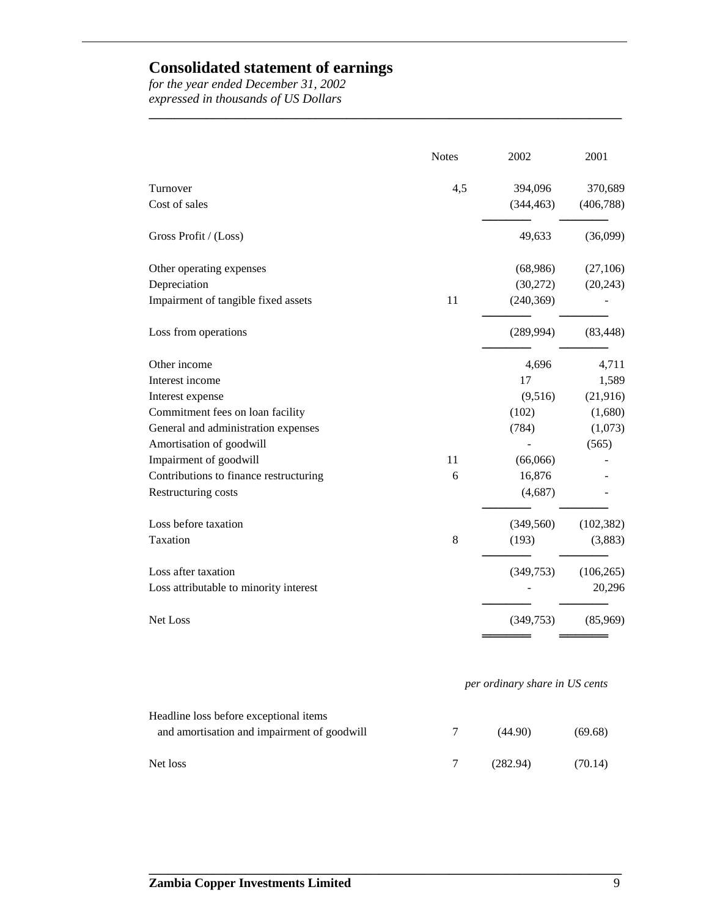### **Consolidated statement of earnings**

*for the year ended December 31, 2002 expressed in thousands of US Dollars*

|                                             | <b>Notes</b> | 2002                           | 2001       |
|---------------------------------------------|--------------|--------------------------------|------------|
| Turnover                                    | 4,5          | 394,096                        | 370,689    |
| Cost of sales                               |              | (344, 463)                     | (406, 788) |
| Gross Profit / (Loss)                       |              | 49,633                         | (36,099)   |
| Other operating expenses                    |              | (68,986)                       | (27,106)   |
| Depreciation                                |              | (30,272)                       | (20, 243)  |
| Impairment of tangible fixed assets         | 11           | (240, 369)                     |            |
| Loss from operations                        |              | (289, 994)                     | (83, 448)  |
| Other income                                |              | 4,696                          | 4,711      |
| Interest income                             |              | 17                             | 1,589      |
| Interest expense                            |              | (9,516)                        | (21, 916)  |
| Commitment fees on loan facility            |              | (102)                          | (1,680)    |
| General and administration expenses         |              | (784)                          | (1,073)    |
| Amortisation of goodwill                    |              |                                | (565)      |
| Impairment of goodwill                      | 11           | (66,066)                       |            |
| Contributions to finance restructuring      | 6            | 16,876                         |            |
| Restructuring costs                         |              | (4,687)                        |            |
| Loss before taxation                        |              | (349, 560)                     | (102, 382) |
| Taxation                                    | 8            | (193)                          | (3,883)    |
| Loss after taxation                         |              | (349,753)                      | (106, 265) |
| Loss attributable to minority interest      |              |                                | 20,296     |
| Net Loss                                    |              | (349, 753)                     | (85,969)   |
|                                             |              | per ordinary share in US cents |            |
| Headline loss before exceptional items      |              |                                |            |
| and amortisation and impairment of goodwill | 7            | (44.90)                        | (69.68)    |
| Net loss                                    | 7            | (282.94)                       | (70.14)    |

**\_\_\_\_\_\_\_\_\_\_\_\_\_\_\_\_\_\_\_\_\_\_\_\_\_\_\_\_\_\_\_\_\_\_\_\_\_\_\_\_\_\_\_\_\_\_\_\_\_\_\_\_\_\_\_\_\_\_\_\_\_\_\_\_\_\_\_\_\_\_\_\_\_\_**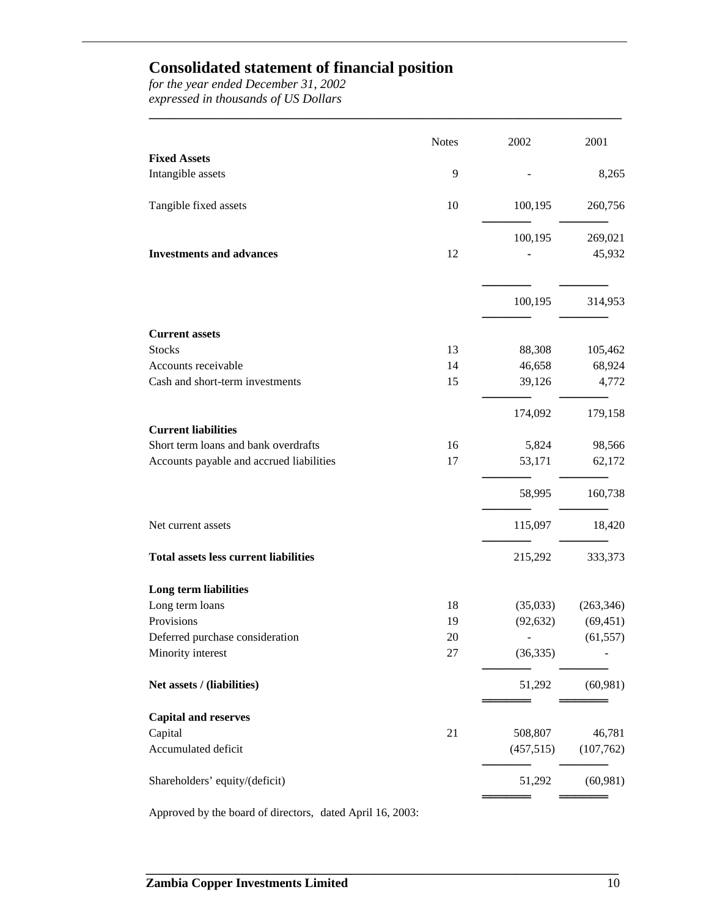# **Consolidated statement of financial position**

*for the year ended December 31, 2002 expressed in thousands of US Dollars*

| <b>Fixed Assets</b><br>Intangible assets<br>9<br>Tangible fixed assets<br>10<br>100,195<br>100,195<br><b>Investments and advances</b><br>12<br>100,195<br><b>Current assets</b><br><b>Stocks</b><br>13<br>88,308<br>46,658<br>Accounts receivable<br>14<br>Cash and short-term investments<br>15<br>39,126<br>174,092<br><b>Current liabilities</b><br>Short term loans and bank overdrafts<br>16<br>5,824<br>Accounts payable and accrued liabilities<br>17<br>53,171<br>58,995<br>115,097<br>Net current assets<br><b>Total assets less current liabilities</b><br>215,292<br>Long term liabilities<br>Long term loans<br>18<br>(35,033)<br>Provisions<br>19<br>(92, 632)<br>Deferred purchase consideration<br>20<br>Minority interest<br>(36, 335)<br>27<br>Net assets / (liabilities)<br>51,292<br><b>Capital and reserves</b><br>Capital<br>21<br>508,807<br>46,781<br>Accumulated deficit<br>(457, 515)<br>(107,762)<br>Shareholders' equity/(deficit)<br>51,292 | <b>Notes</b> | 2002 | 2001       |
|-------------------------------------------------------------------------------------------------------------------------------------------------------------------------------------------------------------------------------------------------------------------------------------------------------------------------------------------------------------------------------------------------------------------------------------------------------------------------------------------------------------------------------------------------------------------------------------------------------------------------------------------------------------------------------------------------------------------------------------------------------------------------------------------------------------------------------------------------------------------------------------------------------------------------------------------------------------------------|--------------|------|------------|
|                                                                                                                                                                                                                                                                                                                                                                                                                                                                                                                                                                                                                                                                                                                                                                                                                                                                                                                                                                         |              |      |            |
|                                                                                                                                                                                                                                                                                                                                                                                                                                                                                                                                                                                                                                                                                                                                                                                                                                                                                                                                                                         |              |      | 8,265      |
|                                                                                                                                                                                                                                                                                                                                                                                                                                                                                                                                                                                                                                                                                                                                                                                                                                                                                                                                                                         |              |      | 260,756    |
|                                                                                                                                                                                                                                                                                                                                                                                                                                                                                                                                                                                                                                                                                                                                                                                                                                                                                                                                                                         |              |      | 269,021    |
|                                                                                                                                                                                                                                                                                                                                                                                                                                                                                                                                                                                                                                                                                                                                                                                                                                                                                                                                                                         |              |      | 45,932     |
|                                                                                                                                                                                                                                                                                                                                                                                                                                                                                                                                                                                                                                                                                                                                                                                                                                                                                                                                                                         |              |      | 314,953    |
|                                                                                                                                                                                                                                                                                                                                                                                                                                                                                                                                                                                                                                                                                                                                                                                                                                                                                                                                                                         |              |      |            |
|                                                                                                                                                                                                                                                                                                                                                                                                                                                                                                                                                                                                                                                                                                                                                                                                                                                                                                                                                                         |              |      | 105,462    |
|                                                                                                                                                                                                                                                                                                                                                                                                                                                                                                                                                                                                                                                                                                                                                                                                                                                                                                                                                                         |              |      | 68,924     |
|                                                                                                                                                                                                                                                                                                                                                                                                                                                                                                                                                                                                                                                                                                                                                                                                                                                                                                                                                                         |              |      | 4,772      |
|                                                                                                                                                                                                                                                                                                                                                                                                                                                                                                                                                                                                                                                                                                                                                                                                                                                                                                                                                                         |              |      | 179,158    |
|                                                                                                                                                                                                                                                                                                                                                                                                                                                                                                                                                                                                                                                                                                                                                                                                                                                                                                                                                                         |              |      |            |
|                                                                                                                                                                                                                                                                                                                                                                                                                                                                                                                                                                                                                                                                                                                                                                                                                                                                                                                                                                         |              |      | 98,566     |
|                                                                                                                                                                                                                                                                                                                                                                                                                                                                                                                                                                                                                                                                                                                                                                                                                                                                                                                                                                         |              |      | 62,172     |
|                                                                                                                                                                                                                                                                                                                                                                                                                                                                                                                                                                                                                                                                                                                                                                                                                                                                                                                                                                         |              |      | 160,738    |
|                                                                                                                                                                                                                                                                                                                                                                                                                                                                                                                                                                                                                                                                                                                                                                                                                                                                                                                                                                         |              |      | 18,420     |
|                                                                                                                                                                                                                                                                                                                                                                                                                                                                                                                                                                                                                                                                                                                                                                                                                                                                                                                                                                         |              |      | 333,373    |
|                                                                                                                                                                                                                                                                                                                                                                                                                                                                                                                                                                                                                                                                                                                                                                                                                                                                                                                                                                         |              |      |            |
|                                                                                                                                                                                                                                                                                                                                                                                                                                                                                                                                                                                                                                                                                                                                                                                                                                                                                                                                                                         |              |      | (263, 346) |
|                                                                                                                                                                                                                                                                                                                                                                                                                                                                                                                                                                                                                                                                                                                                                                                                                                                                                                                                                                         |              |      | (69, 451)  |
|                                                                                                                                                                                                                                                                                                                                                                                                                                                                                                                                                                                                                                                                                                                                                                                                                                                                                                                                                                         |              |      | (61, 557)  |
|                                                                                                                                                                                                                                                                                                                                                                                                                                                                                                                                                                                                                                                                                                                                                                                                                                                                                                                                                                         |              |      |            |
|                                                                                                                                                                                                                                                                                                                                                                                                                                                                                                                                                                                                                                                                                                                                                                                                                                                                                                                                                                         |              |      | (60, 981)  |
|                                                                                                                                                                                                                                                                                                                                                                                                                                                                                                                                                                                                                                                                                                                                                                                                                                                                                                                                                                         |              |      |            |
|                                                                                                                                                                                                                                                                                                                                                                                                                                                                                                                                                                                                                                                                                                                                                                                                                                                                                                                                                                         |              |      |            |
|                                                                                                                                                                                                                                                                                                                                                                                                                                                                                                                                                                                                                                                                                                                                                                                                                                                                                                                                                                         |              |      |            |
|                                                                                                                                                                                                                                                                                                                                                                                                                                                                                                                                                                                                                                                                                                                                                                                                                                                                                                                                                                         |              |      | (60, 981)  |

**\_\_\_\_\_\_\_\_\_\_\_\_\_\_\_\_\_\_\_\_\_\_\_\_\_\_\_\_\_\_\_\_\_\_\_\_\_\_\_\_\_\_\_\_\_\_\_\_\_\_\_\_\_\_\_\_\_\_\_\_\_\_\_\_\_\_\_\_\_\_\_\_\_\_**

**\_\_\_\_\_\_\_\_\_\_\_\_\_\_\_\_\_\_\_\_\_\_\_\_\_\_\_\_\_\_\_\_\_\_\_\_\_\_\_\_\_\_\_\_\_\_\_\_\_\_\_\_\_\_\_\_\_\_\_\_\_\_\_\_\_\_\_\_\_\_\_\_\_\_**

Approved by the board of directors, dated April 16, 2003: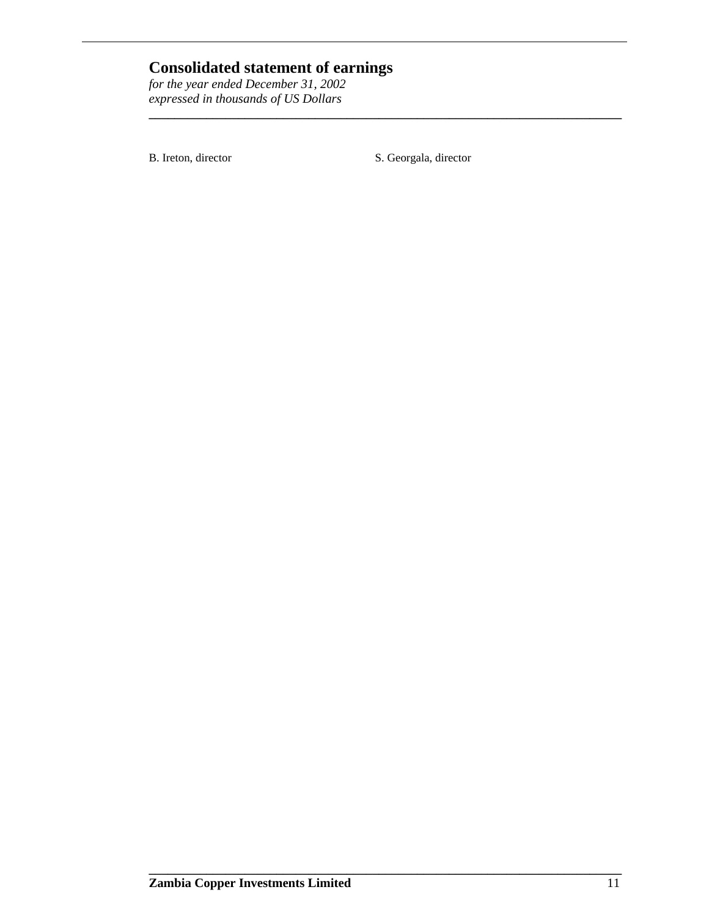# **Consolidated statement of earnings**

*for the year ended December 31, 2002 expressed in thousands of US Dollars*

B. Ireton, director S. Georgala, director

**\_\_\_\_\_\_\_\_\_\_\_\_\_\_\_\_\_\_\_\_\_\_\_\_\_\_\_\_\_\_\_\_\_\_\_\_\_\_\_\_\_\_\_\_\_\_\_\_\_\_\_\_\_\_\_\_\_\_\_\_\_\_\_\_\_\_\_\_\_\_\_\_\_\_**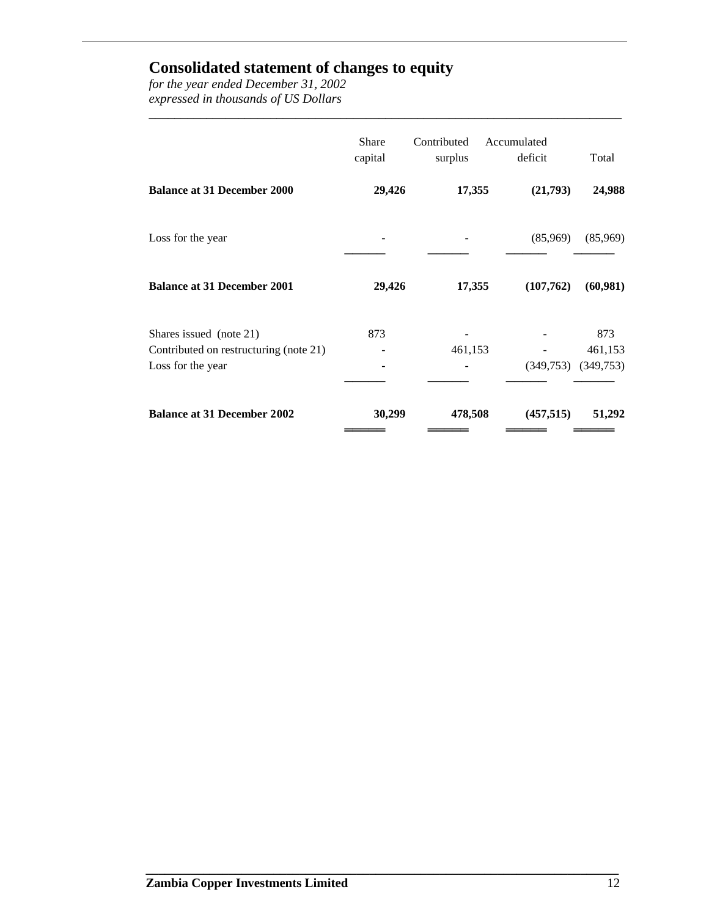### **Consolidated statement of changes to equity**

*for the year ended December 31, 2002 expressed in thousands of US Dollars*

|                                                                                        | <b>Share</b><br>capital | Contributed<br>surplus | Accumulated<br>deficit | Total                       |
|----------------------------------------------------------------------------------------|-------------------------|------------------------|------------------------|-----------------------------|
| <b>Balance at 31 December 2000</b>                                                     | 29,426                  | 17,355                 | (21,793)               | 24,988                      |
| Loss for the year                                                                      |                         |                        | (85,969)               | (85,969)                    |
| <b>Balance at 31 December 2001</b>                                                     | 29,426                  | 17,355                 | (107,762)              | (60, 981)                   |
| Shares issued (note 21)<br>Contributed on restructuring (note 21)<br>Loss for the year | 873                     | 461,153                | (349,753)              | 873<br>461,153<br>(349,753) |
| <b>Balance at 31 December 2002</b>                                                     | 30,299                  | 478,508                | (457, 515)             | 51,292                      |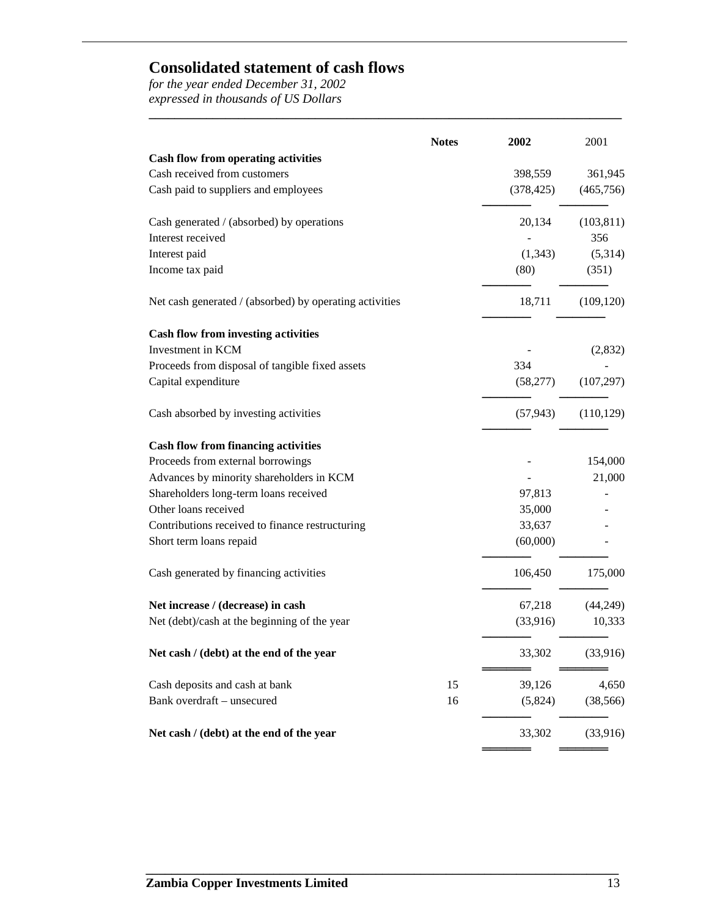# **Consolidated statement of cash flows**

*for the year ended December 31, 2002 expressed in thousands of US Dollars*

| <b>Notes</b>                                            | 2002       | 2001       |
|---------------------------------------------------------|------------|------------|
| <b>Cash flow from operating activities</b>              |            |            |
| Cash received from customers                            | 398,559    | 361,945    |
| Cash paid to suppliers and employees                    | (378, 425) | (465, 756) |
| Cash generated / (absorbed) by operations               | 20,134     | (103, 811) |
| Interest received                                       |            | 356        |
| Interest paid                                           | (1, 343)   | (5,314)    |
| Income tax paid                                         | (80)       | (351)      |
| Net cash generated / (absorbed) by operating activities | 18,711     | (109, 120) |
| <b>Cash flow from investing activities</b>              |            |            |
| Investment in KCM                                       |            | (2,832)    |
| Proceeds from disposal of tangible fixed assets         | 334        |            |
| Capital expenditure                                     | (58, 277)  | (107, 297) |
| Cash absorbed by investing activities                   | (57, 943)  | (110, 129) |
| <b>Cash flow from financing activities</b>              |            |            |
| Proceeds from external borrowings                       |            | 154,000    |
| Advances by minority shareholders in KCM                |            | 21,000     |
| Shareholders long-term loans received                   | 97,813     |            |
| Other loans received                                    | 35,000     |            |
| Contributions received to finance restructuring         | 33,637     |            |
| Short term loans repaid                                 | (60,000)   |            |
| Cash generated by financing activities                  | 106,450    | 175,000    |
| Net increase / (decrease) in cash                       | 67,218     | (44,249)   |
| Net (debt)/cash at the beginning of the year            | (33,916)   | 10,333     |
| Net cash / (debt) at the end of the year                | 33,302     | (33,916)   |
| Cash deposits and cash at bank<br>15                    | 39,126     | 4,650      |
| Bank overdraft - unsecured<br>16                        | (5,824)    | (38, 566)  |
| Net cash / (debt) at the end of the year                | 33,302     | (33,916)   |

**\_\_\_\_\_\_\_\_\_\_\_\_\_\_\_\_\_\_\_\_\_\_\_\_\_\_\_\_\_\_\_\_\_\_\_\_\_\_\_\_\_\_\_\_\_\_\_\_\_\_\_\_\_\_\_\_\_\_\_\_\_\_\_\_\_\_\_\_\_\_\_\_\_\_**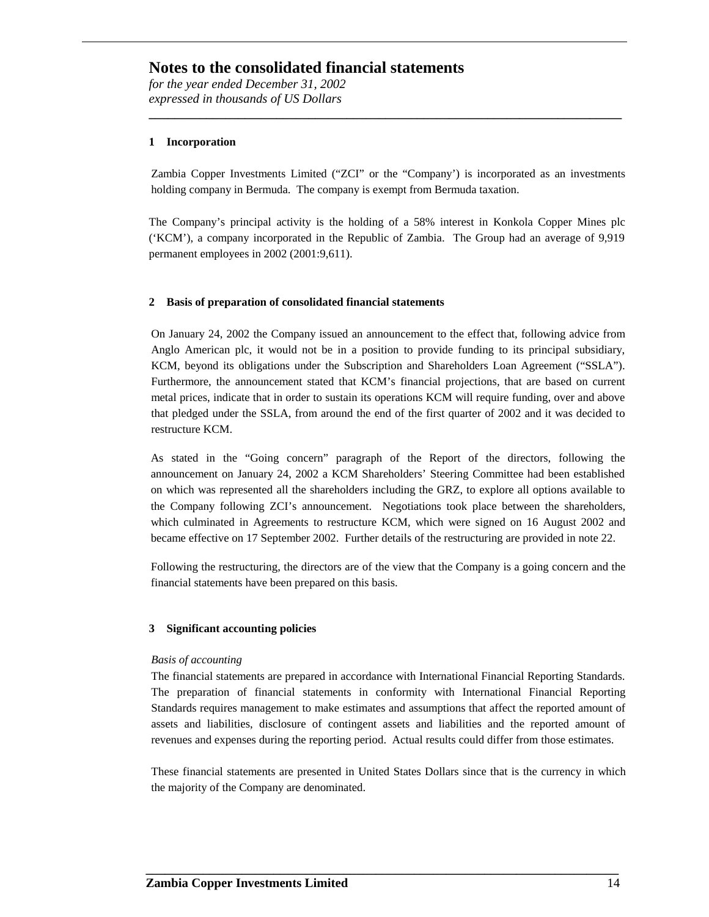*for the year ended December 31, 2002 expressed in thousands of US Dollars*

#### **1 Incorporation**

Zambia Copper Investments Limited ("ZCI" or the "Company') is incorporated as an investments holding company in Bermuda. The company is exempt from Bermuda taxation.

**\_\_\_\_\_\_\_\_\_\_\_\_\_\_\_\_\_\_\_\_\_\_\_\_\_\_\_\_\_\_\_\_\_\_\_\_\_\_\_\_\_\_\_\_\_\_\_\_\_\_\_\_\_\_\_\_\_\_\_\_\_\_\_\_\_\_\_\_\_\_\_\_\_\_**

The Company's principal activity is the holding of a 58% interest in Konkola Copper Mines plc ('KCM'), a company incorporated in the Republic of Zambia. The Group had an average of 9,919 permanent employees in 2002 (2001:9,611).

#### **2 Basis of preparation of consolidated financial statements**

On January 24, 2002 the Company issued an announcement to the effect that, following advice from Anglo American plc, it would not be in a position to provide funding to its principal subsidiary, KCM, beyond its obligations under the Subscription and Shareholders Loan Agreement ("SSLA"). Furthermore, the announcement stated that KCM's financial projections, that are based on current metal prices, indicate that in order to sustain its operations KCM will require funding, over and above that pledged under the SSLA, from around the end of the first quarter of 2002 and it was decided to restructure KCM.

As stated in the "Going concern" paragraph of the Report of the directors, following the announcement on January 24, 2002 a KCM Shareholders' Steering Committee had been established on which was represented all the shareholders including the GRZ, to explore all options available to the Company following ZCI's announcement. Negotiations took place between the shareholders, which culminated in Agreements to restructure KCM, which were signed on 16 August 2002 and became effective on 17 September 2002. Further details of the restructuring are provided in note 22.

Following the restructuring, the directors are of the view that the Company is a going concern and the financial statements have been prepared on this basis.

#### **3 Significant accounting policies**

#### *Basis of accounting*

The financial statements are prepared in accordance with International Financial Reporting Standards. The preparation of financial statements in conformity with International Financial Reporting Standards requires management to make estimates and assumptions that affect the reported amount of assets and liabilities, disclosure of contingent assets and liabilities and the reported amount of revenues and expenses during the reporting period. Actual results could differ from those estimates.

These financial statements are presented in United States Dollars since that is the currency in which the majority of the Company are denominated.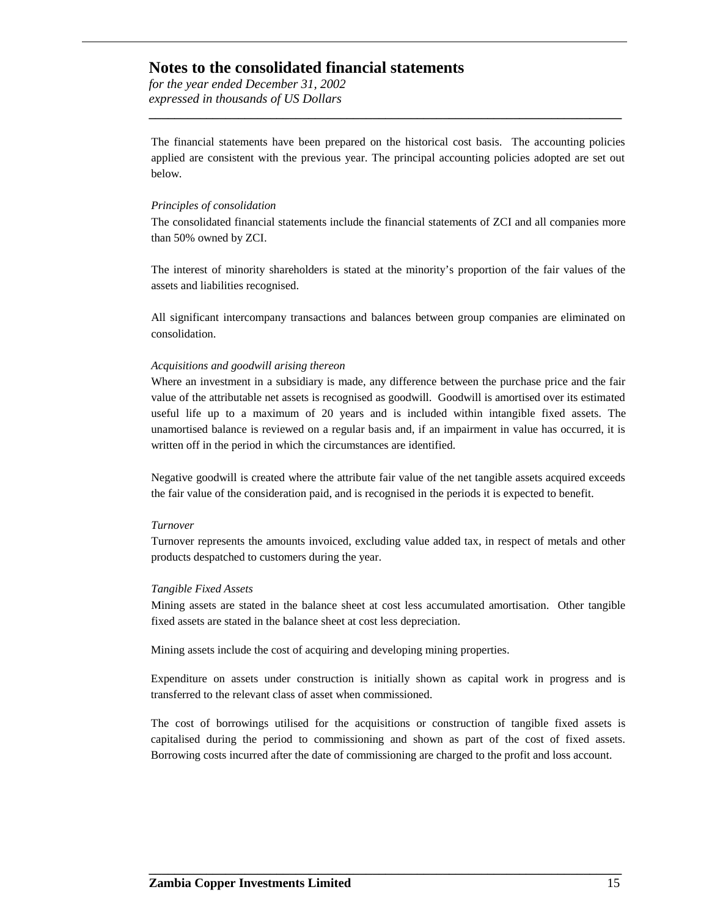*for the year ended December 31, 2002 expressed in thousands of US Dollars*

The financial statements have been prepared on the historical cost basis. The accounting policies applied are consistent with the previous year. The principal accounting policies adopted are set out below.

**\_\_\_\_\_\_\_\_\_\_\_\_\_\_\_\_\_\_\_\_\_\_\_\_\_\_\_\_\_\_\_\_\_\_\_\_\_\_\_\_\_\_\_\_\_\_\_\_\_\_\_\_\_\_\_\_\_\_\_\_\_\_\_\_\_\_\_\_\_\_\_\_\_\_**

#### *Principles of consolidation*

The consolidated financial statements include the financial statements of ZCI and all companies more than 50% owned by ZCI.

The interest of minority shareholders is stated at the minority's proportion of the fair values of the assets and liabilities recognised.

All significant intercompany transactions and balances between group companies are eliminated on consolidation.

#### *Acquisitions and goodwill arising thereon*

Where an investment in a subsidiary is made, any difference between the purchase price and the fair value of the attributable net assets is recognised as goodwill. Goodwill is amortised over its estimated useful life up to a maximum of 20 years and is included within intangible fixed assets. The unamortised balance is reviewed on a regular basis and, if an impairment in value has occurred, it is written off in the period in which the circumstances are identified.

Negative goodwill is created where the attribute fair value of the net tangible assets acquired exceeds the fair value of the consideration paid, and is recognised in the periods it is expected to benefit.

#### *Turnover*

Turnover represents the amounts invoiced, excluding value added tax, in respect of metals and other products despatched to customers during the year.

#### *Tangible Fixed Assets*

Mining assets are stated in the balance sheet at cost less accumulated amortisation. Other tangible fixed assets are stated in the balance sheet at cost less depreciation.

Mining assets include the cost of acquiring and developing mining properties.

Expenditure on assets under construction is initially shown as capital work in progress and is transferred to the relevant class of asset when commissioned.

The cost of borrowings utilised for the acquisitions or construction of tangible fixed assets is capitalised during the period to commissioning and shown as part of the cost of fixed assets. Borrowing costs incurred after the date of commissioning are charged to the profit and loss account.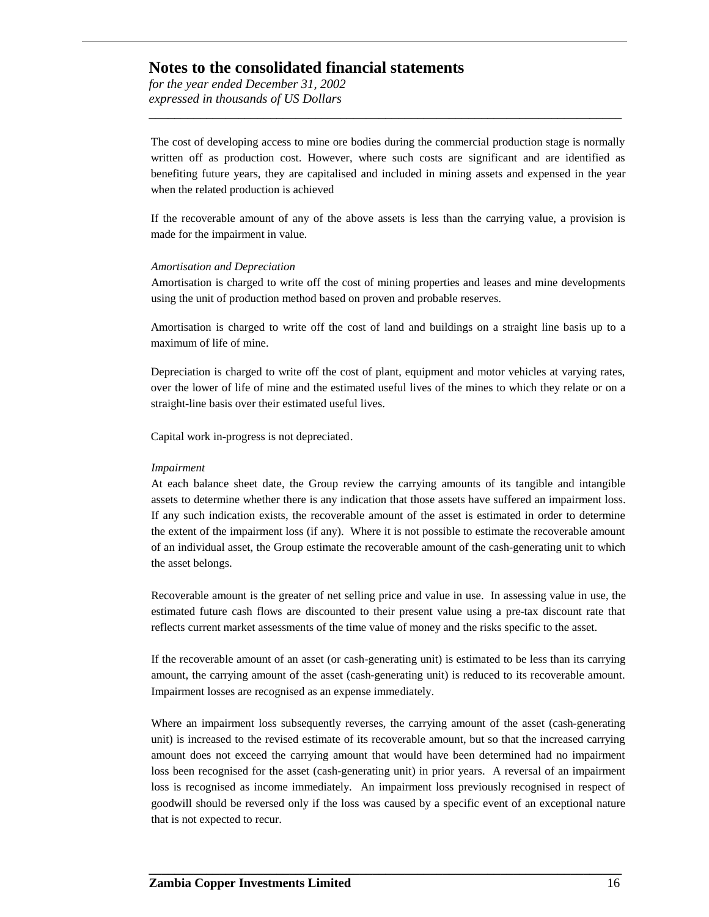*for the year ended December 31, 2002 expressed in thousands of US Dollars*

The cost of developing access to mine ore bodies during the commercial production stage is normally written off as production cost. However, where such costs are significant and are identified as benefiting future years, they are capitalised and included in mining assets and expensed in the year when the related production is achieved

**\_\_\_\_\_\_\_\_\_\_\_\_\_\_\_\_\_\_\_\_\_\_\_\_\_\_\_\_\_\_\_\_\_\_\_\_\_\_\_\_\_\_\_\_\_\_\_\_\_\_\_\_\_\_\_\_\_\_\_\_\_\_\_\_\_\_\_\_\_\_\_\_\_\_**

If the recoverable amount of any of the above assets is less than the carrying value, a provision is made for the impairment in value.

#### *Amortisation and Depreciation*

Amortisation is charged to write off the cost of mining properties and leases and mine developments using the unit of production method based on proven and probable reserves.

Amortisation is charged to write off the cost of land and buildings on a straight line basis up to a maximum of life of mine.

Depreciation is charged to write off the cost of plant, equipment and motor vehicles at varying rates, over the lower of life of mine and the estimated useful lives of the mines to which they relate or on a straight-line basis over their estimated useful lives.

Capital work in-progress is not depreciated.

#### *Impairment*

At each balance sheet date, the Group review the carrying amounts of its tangible and intangible assets to determine whether there is any indication that those assets have suffered an impairment loss. If any such indication exists, the recoverable amount of the asset is estimated in order to determine the extent of the impairment loss (if any). Where it is not possible to estimate the recoverable amount of an individual asset, the Group estimate the recoverable amount of the cash-generating unit to which the asset belongs.

Recoverable amount is the greater of net selling price and value in use. In assessing value in use, the estimated future cash flows are discounted to their present value using a pre-tax discount rate that reflects current market assessments of the time value of money and the risks specific to the asset.

If the recoverable amount of an asset (or cash-generating unit) is estimated to be less than its carrying amount, the carrying amount of the asset (cash-generating unit) is reduced to its recoverable amount. Impairment losses are recognised as an expense immediately.

Where an impairment loss subsequently reverses, the carrying amount of the asset (cash-generating unit) is increased to the revised estimate of its recoverable amount, but so that the increased carrying amount does not exceed the carrying amount that would have been determined had no impairment loss been recognised for the asset (cash-generating unit) in prior years. A reversal of an impairment loss is recognised as income immediately. An impairment loss previously recognised in respect of goodwill should be reversed only if the loss was caused by a specific event of an exceptional nature that is not expected to recur.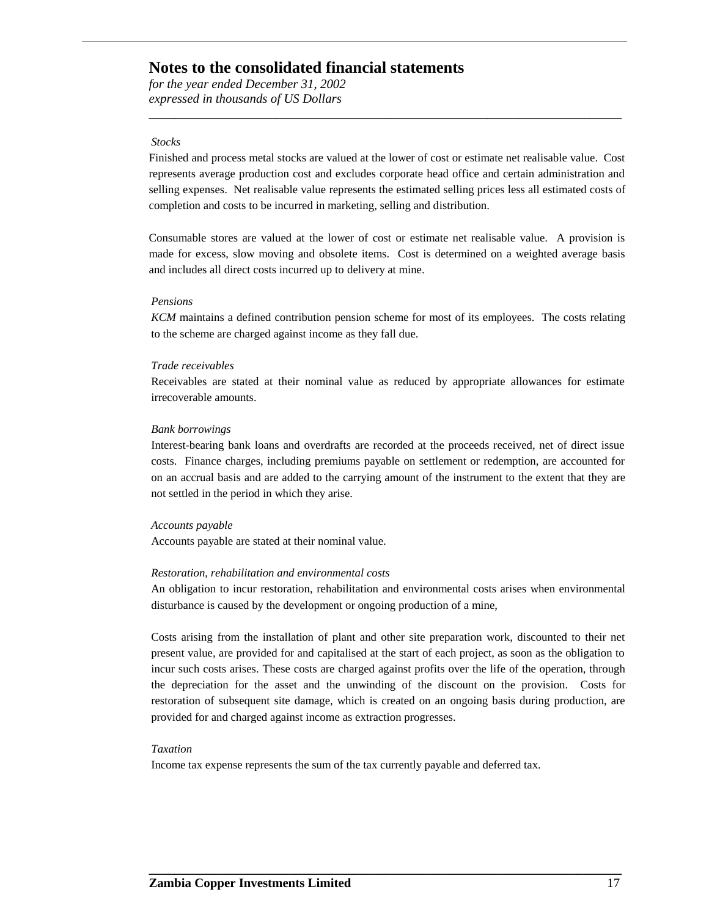*for the year ended December 31, 2002 expressed in thousands of US Dollars*

#### *Stocks*

Finished and process metal stocks are valued at the lower of cost or estimate net realisable value. Cost represents average production cost and excludes corporate head office and certain administration and selling expenses. Net realisable value represents the estimated selling prices less all estimated costs of completion and costs to be incurred in marketing, selling and distribution.

**\_\_\_\_\_\_\_\_\_\_\_\_\_\_\_\_\_\_\_\_\_\_\_\_\_\_\_\_\_\_\_\_\_\_\_\_\_\_\_\_\_\_\_\_\_\_\_\_\_\_\_\_\_\_\_\_\_\_\_\_\_\_\_\_\_\_\_\_\_\_\_\_\_\_**

Consumable stores are valued at the lower of cost or estimate net realisable value. A provision is made for excess, slow moving and obsolete items. Cost is determined on a weighted average basis and includes all direct costs incurred up to delivery at mine.

#### *Pensions*

*KCM* maintains a defined contribution pension scheme for most of its employees. The costs relating to the scheme are charged against income as they fall due.

#### *Trade receivables*

Receivables are stated at their nominal value as reduced by appropriate allowances for estimate irrecoverable amounts.

#### *Bank borrowings*

Interest-bearing bank loans and overdrafts are recorded at the proceeds received, net of direct issue costs. Finance charges, including premiums payable on settlement or redemption, are accounted for on an accrual basis and are added to the carrying amount of the instrument to the extent that they are not settled in the period in which they arise.

#### *Accounts payable*

Accounts payable are stated at their nominal value.

#### *Restoration, rehabilitation and environmental costs*

An obligation to incur restoration, rehabilitation and environmental costs arises when environmental disturbance is caused by the development or ongoing production of a mine,

Costs arising from the installation of plant and other site preparation work, discounted to their net present value, are provided for and capitalised at the start of each project, as soon as the obligation to incur such costs arises. These costs are charged against profits over the life of the operation, through the depreciation for the asset and the unwinding of the discount on the provision. Costs for restoration of subsequent site damage, which is created on an ongoing basis during production, are provided for and charged against income as extraction progresses.

**\_\_\_\_\_\_\_\_\_\_\_\_\_\_\_\_\_\_\_\_\_\_\_\_\_\_\_\_\_\_\_\_\_\_\_\_\_\_\_\_\_\_\_\_\_\_\_\_\_\_\_\_\_\_\_\_\_\_\_\_\_\_\_\_\_\_\_\_\_\_\_\_\_\_**

#### *Taxation*

Income tax expense represents the sum of the tax currently payable and deferred tax.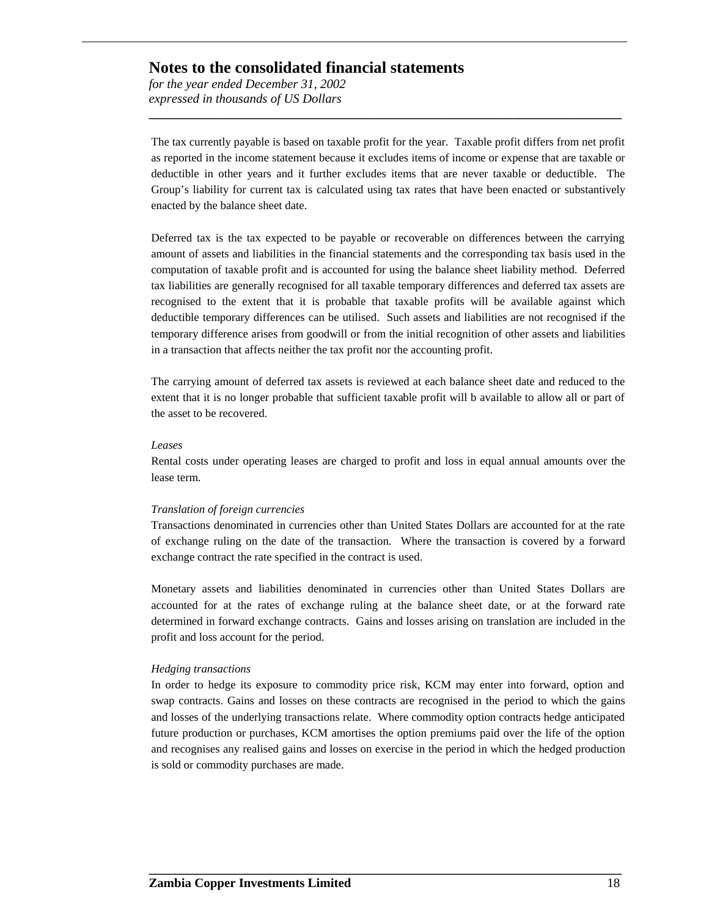*for the year ended December 31, 2002 expressed in thousands of US Dollars*

The tax currently payable is based on taxable profit for the year. Taxable profit differs from net profit as reported in the income statement because it excludes items of income or expense that are taxable or deductible in other years and it further excludes items that are never taxable or deductible. The Group's liability for current tax is calculated using tax rates that have been enacted or substantively enacted by the balance sheet date.

**\_\_\_\_\_\_\_\_\_\_\_\_\_\_\_\_\_\_\_\_\_\_\_\_\_\_\_\_\_\_\_\_\_\_\_\_\_\_\_\_\_\_\_\_\_\_\_\_\_\_\_\_\_\_\_\_\_\_\_\_\_\_\_\_\_\_\_\_\_\_\_\_\_\_**

Deferred tax is the tax expected to be payable or recoverable on differences between the carrying amount of assets and liabilities in the financial statements and the corresponding tax basis used in the computation of taxable profit and is accounted for using the balance sheet liability method. Deferred tax liabilities are generally recognised for all taxable temporary differences and deferred tax assets are recognised to the extent that it is probable that taxable profits will be available against which deductible temporary differences can be utilised. Such assets and liabilities are not recognised if the temporary difference arises from goodwill or from the initial recognition of other assets and liabilities in a transaction that affects neither the tax profit nor the accounting profit.

The carrying amount of deferred tax assets is reviewed at each balance sheet date and reduced to the extent that it is no longer probable that sufficient taxable profit will b available to allow all or part of the asset to be recovered.

#### *Leases*

Rental costs under operating leases are charged to profit and loss in equal annual amounts over the lease term*.* 

#### *Translation of foreign currencies*

Transactions denominated in currencies other than United States Dollars are accounted for at the rate of exchange ruling on the date of the transaction. Where the transaction is covered by a forward exchange contract the rate specified in the contract is used.

Monetary assets and liabilities denominated in currencies other than United States Dollars are accounted for at the rates of exchange ruling at the balance sheet date, or at the forward rate determined in forward exchange contracts. Gains and losses arising on translation are included in the profit and loss account for the period.

#### *Hedging transactions*

In order to hedge its exposure to commodity price risk, KCM may enter into forward, option and swap contracts. Gains and losses on these contracts are recognised in the period to which the gains and losses of the underlying transactions relate. Where commodity option contracts hedge anticipated future production or purchases, KCM amortises the option premiums paid over the life of the option and recognises any realised gains and losses on exercise in the period in which the hedged production is sold or commodity purchases are made.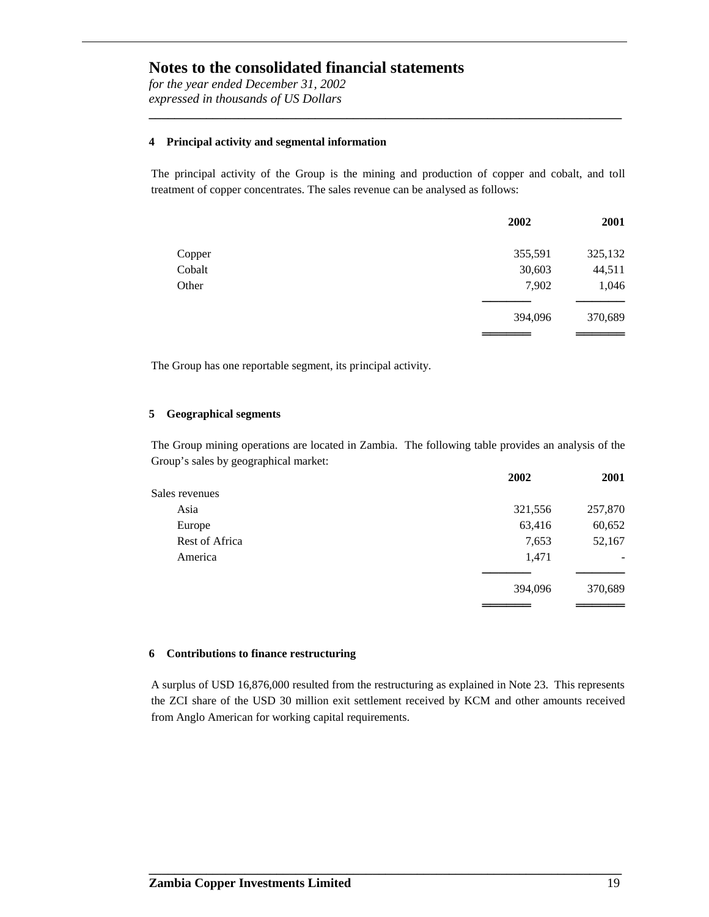*for the year ended December 31, 2002 expressed in thousands of US Dollars*

#### **4 Principal activity and segmental information**

The principal activity of the Group is the mining and production of copper and cobalt, and toll treatment of copper concentrates. The sales revenue can be analysed as follows:

**\_\_\_\_\_\_\_\_\_\_\_\_\_\_\_\_\_\_\_\_\_\_\_\_\_\_\_\_\_\_\_\_\_\_\_\_\_\_\_\_\_\_\_\_\_\_\_\_\_\_\_\_\_\_\_\_\_\_\_\_\_\_\_\_\_\_\_\_\_\_\_\_\_\_**

|        | 2002    | 2001    |
|--------|---------|---------|
| Copper | 355,591 | 325,132 |
| Cobalt | 30,603  | 44,511  |
| Other  | 7,902   | 1,046   |
|        |         |         |
|        | 394,096 | 370,689 |
|        |         |         |

The Group has one reportable segment, its principal activity.

#### **5 Geographical segments**

The Group mining operations are located in Zambia. The following table provides an analysis of the Group's sales by geographical market:

|                | 2002    | 2001    |
|----------------|---------|---------|
| Sales revenues |         |         |
| Asia           | 321,556 | 257,870 |
| Europe         | 63,416  | 60,652  |
| Rest of Africa | 7,653   | 52,167  |
| America        | 1,471   |         |
|                |         |         |
|                | 394,096 | 370,689 |
|                |         |         |

#### **6 Contributions to finance restructuring**

A surplus of USD 16,876,000 resulted from the restructuring as explained in Note 23. This represents the ZCI share of the USD 30 million exit settlement received by KCM and other amounts received from Anglo American for working capital requirements.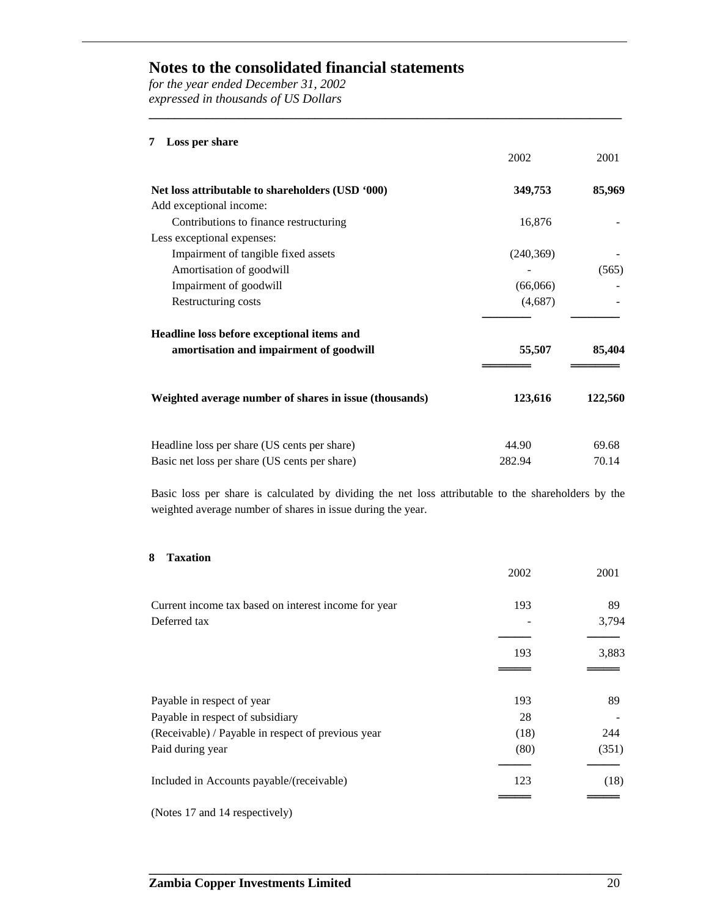*for the year ended December 31, 2002 expressed in thousands of US Dollars*

#### **7 Loss per share**

|                                                        | 2002       | 2001    |
|--------------------------------------------------------|------------|---------|
| Net loss attributable to shareholders (USD '000)       | 349,753    | 85,969  |
| Add exceptional income:                                |            |         |
| Contributions to finance restructuring                 | 16,876     |         |
| Less exceptional expenses:                             |            |         |
| Impairment of tangible fixed assets                    | (240, 369) |         |
| Amortisation of goodwill                               |            | (565)   |
| Impairment of goodwill                                 | (66,066)   |         |
| Restructuring costs                                    | (4,687)    |         |
| Headline loss before exceptional items and             |            |         |
| amortisation and impairment of goodwill                | 55,507     | 85,404  |
| Weighted average number of shares in issue (thousands) | 123,616    | 122,560 |
| Headline loss per share (US cents per share)           | 44.90      | 69.68   |
| Basic net loss per share (US cents per share)          | 282.94     | 70.14   |

**\_\_\_\_\_\_\_\_\_\_\_\_\_\_\_\_\_\_\_\_\_\_\_\_\_\_\_\_\_\_\_\_\_\_\_\_\_\_\_\_\_\_\_\_\_\_\_\_\_\_\_\_\_\_\_\_\_\_\_\_\_\_\_\_\_\_\_\_\_\_\_\_\_\_**

Basic loss per share is calculated by dividing the net loss attributable to the shareholders by the weighted average number of shares in issue during the year.

#### **8 Taxation**

|                                                      | 2002 | 2001  |
|------------------------------------------------------|------|-------|
| Current income tax based on interest income for year | 193  | 89    |
| Deferred tax                                         |      | 3,794 |
|                                                      | 193  | 3,883 |
|                                                      |      |       |
| Payable in respect of year                           | 193  | 89    |
| Payable in respect of subsidiary                     | 28   |       |
| (Receivable) / Payable in respect of previous year   | (18) | 244   |
| Paid during year                                     | (80) | (351) |
| Included in Accounts payable/(receivable)            | 123  | (18)  |
|                                                      |      |       |
| (Notes 17 and 14 respectively)                       |      |       |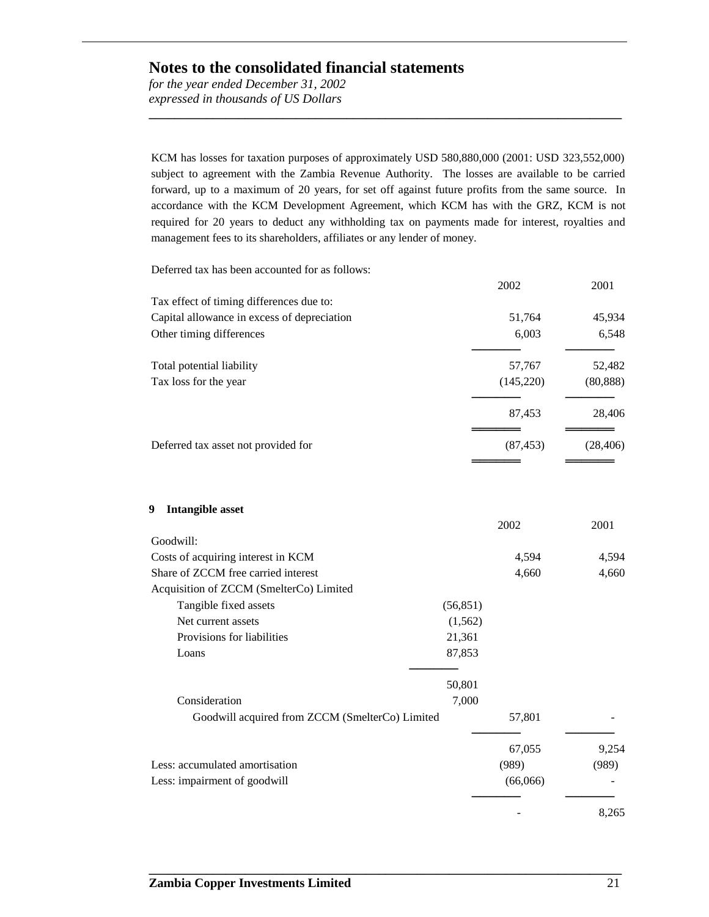*for the year ended December 31, 2002 expressed in thousands of US Dollars*

KCM has losses for taxation purposes of approximately USD 580,880,000 (2001: USD 323,552,000) subject to agreement with the Zambia Revenue Authority. The losses are available to be carried forward, up to a maximum of 20 years, for set off against future profits from the same source. In accordance with the KCM Development Agreement, which KCM has with the GRZ, KCM is not required for 20 years to deduct any withholding tax on payments made for interest, royalties and management fees to its shareholders, affiliates or any lender of money.

**\_\_\_\_\_\_\_\_\_\_\_\_\_\_\_\_\_\_\_\_\_\_\_\_\_\_\_\_\_\_\_\_\_\_\_\_\_\_\_\_\_\_\_\_\_\_\_\_\_\_\_\_\_\_\_\_\_\_\_\_\_\_\_\_\_\_\_\_\_\_\_\_\_\_**

Deferred tax has been accounted for as follows:

|                                             | 2002      | 2001      |
|---------------------------------------------|-----------|-----------|
| Tax effect of timing differences due to:    |           |           |
| Capital allowance in excess of depreciation | 51,764    | 45,934    |
| Other timing differences                    | 6,003     | 6,548     |
| Total potential liability                   | 57,767    | 52,482    |
| Tax loss for the year                       | (145,220) | (80, 888) |
|                                             | 87,453    | 28,406    |
| Deferred tax asset not provided for         | (87, 453) | (28, 406) |
|                                             |           |           |
|                                             |           |           |

**9 Intangible asset**

|                                                 |           | 2002     | 2001  |
|-------------------------------------------------|-----------|----------|-------|
| Goodwill:                                       |           |          |       |
| Costs of acquiring interest in KCM              |           | 4,594    | 4,594 |
| Share of ZCCM free carried interest             |           | 4,660    | 4,660 |
| Acquisition of ZCCM (SmelterCo) Limited         |           |          |       |
| Tangible fixed assets                           | (56, 851) |          |       |
| Net current assets                              | (1, 562)  |          |       |
| Provisions for liabilities                      | 21,361    |          |       |
| Loans                                           | 87,853    |          |       |
|                                                 | 50,801    |          |       |
| Consideration                                   | 7,000     |          |       |
| Goodwill acquired from ZCCM (SmelterCo) Limited |           | 57,801   |       |
|                                                 |           | 67,055   | 9,254 |
| Less: accumulated amortisation                  |           | (989)    | (989) |
| Less: impairment of goodwill                    |           | (66,066) |       |
|                                                 |           |          | 8.265 |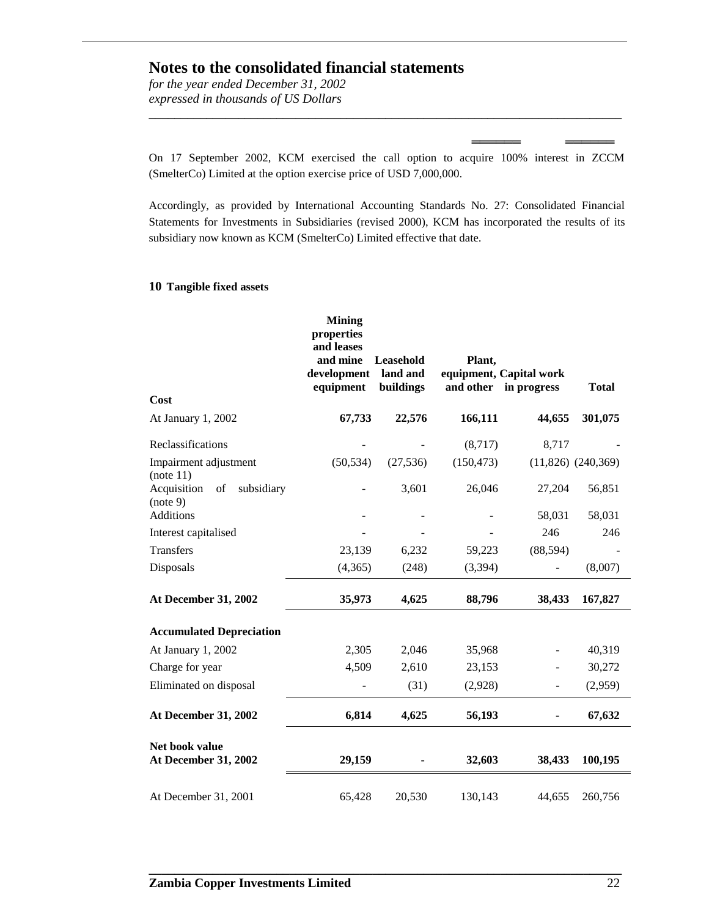*for the year ended December 31, 2002 expressed in thousands of US Dollars*

On 17 September 2002, KCM exercised the call option to acquire 100% interest in ZCCM (SmelterCo) Limited at the option exercise price of USD 7,000,000.

══════ ══════

**\_\_\_\_\_\_\_\_\_\_\_\_\_\_\_\_\_\_\_\_\_\_\_\_\_\_\_\_\_\_\_\_\_\_\_\_\_\_\_\_\_\_\_\_\_\_\_\_\_\_\_\_\_\_\_\_\_\_\_\_\_\_\_\_\_\_\_\_\_\_\_\_\_\_**

Accordingly, as provided by International Accounting Standards No. 27: Consolidated Financial Statements for Investments in Subsidiaries (revised 2000), KCM has incorporated the results of its subsidiary now known as KCM (SmelterCo) Limited effective that date.

#### **10 Tangible fixed assets**

|                                             | <b>Mining</b><br>properties<br>and leases<br>and mine<br>development<br>equipment | Leasehold<br>land and<br>buildings | Plant,<br>and other | equipment, Capital work<br>in progress | <b>Total</b>           |
|---------------------------------------------|-----------------------------------------------------------------------------------|------------------------------------|---------------------|----------------------------------------|------------------------|
| Cost                                        |                                                                                   |                                    |                     |                                        |                        |
| At January 1, 2002                          | 67,733                                                                            | 22,576                             | 166,111             | 44,655                                 | 301,075                |
| Reclassifications                           |                                                                                   |                                    | (8,717)             | 8,717                                  |                        |
| Impairment adjustment<br>(note 11)          | (50, 534)                                                                         | (27, 536)                          | (150, 473)          |                                        | $(11,826)$ $(240,369)$ |
| Acquisition<br>subsidiary<br>of<br>(note 9) |                                                                                   | 3,601                              | 26,046              | 27,204                                 | 56,851                 |
| <b>Additions</b>                            |                                                                                   |                                    |                     | 58,031                                 | 58,031                 |
| Interest capitalised                        |                                                                                   |                                    |                     | 246                                    | 246                    |
| <b>Transfers</b>                            | 23,139                                                                            | 6,232                              | 59,223              | (88, 594)                              |                        |
| Disposals                                   | (4,365)                                                                           | (248)                              | (3, 394)            | $\overline{a}$                         | (8,007)                |
| At December 31, 2002                        | 35,973                                                                            | 4,625                              | 88,796              | 38,433                                 | 167,827                |
| <b>Accumulated Depreciation</b>             |                                                                                   |                                    |                     |                                        |                        |
| At January 1, 2002                          | 2,305                                                                             | 2,046                              | 35,968              |                                        | 40,319                 |
| Charge for year                             | 4,509                                                                             | 2,610                              | 23,153              |                                        | 30,272                 |
| Eliminated on disposal                      |                                                                                   | (31)                               | (2,928)             | $\overline{\phantom{a}}$               | (2,959)                |
| At December 31, 2002                        | 6,814                                                                             | 4,625                              | 56,193              |                                        | 67,632                 |
| Net book value<br>At December 31, 2002      | 29,159                                                                            |                                    | 32,603              | 38,433                                 | 100,195                |
| At December 31, 2001                        | 65,428                                                                            | 20,530                             | 130,143             | 44,655                                 | 260,756                |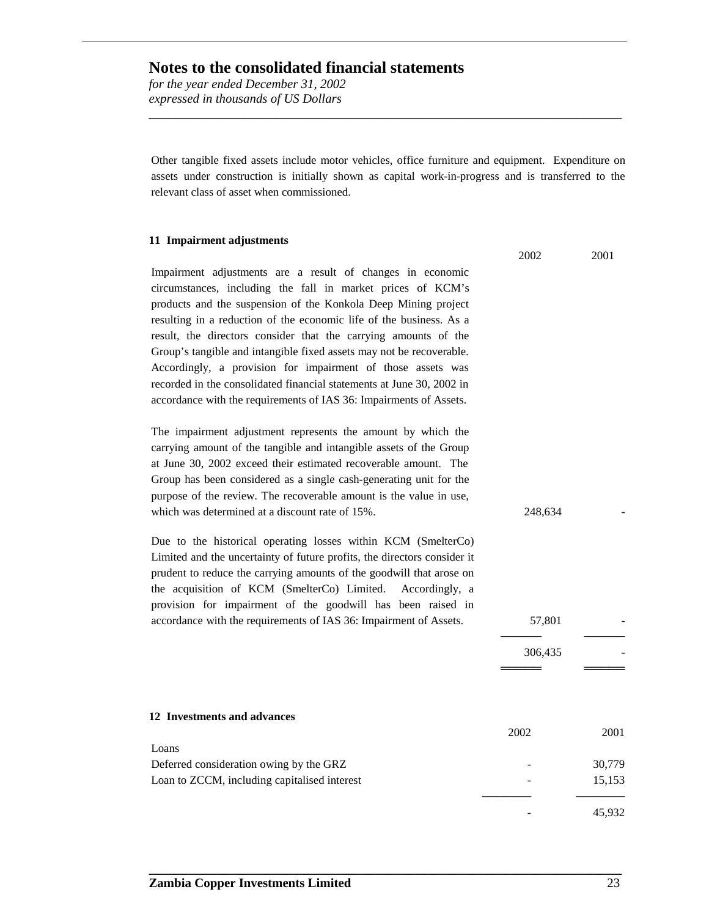*for the year ended December 31, 2002 expressed in thousands of US Dollars*

Other tangible fixed assets include motor vehicles, office furniture and equipment. Expenditure on assets under construction is initially shown as capital work-in-progress and is transferred to the relevant class of asset when commissioned.

**\_\_\_\_\_\_\_\_\_\_\_\_\_\_\_\_\_\_\_\_\_\_\_\_\_\_\_\_\_\_\_\_\_\_\_\_\_\_\_\_\_\_\_\_\_\_\_\_\_\_\_\_\_\_\_\_\_\_\_\_\_\_\_\_\_\_\_\_\_\_\_\_\_\_**

#### **11 Impairment adjustments**

Impairment adjustments are a result of changes in economic circumstances, including the fall in market prices of KCM's products and the suspension of the Konkola Deep Mining project resulting in a reduction of the economic life of the business. As a result, the directors consider that the carrying amounts of the Group's tangible and intangible fixed assets may not be recoverable. Accordingly, a provision for impairment of those assets was recorded in the consolidated financial statements at June 30, 2002 in accordance with the requirements of IAS 36: Impairments of Assets.

The impairment adjustment represents the amount by which the carrying amount of the tangible and intangible assets of the Group at June 30, 2002 exceed their estimated recoverable amount. The Group has been considered as a single cash-generating unit for the purpose of the review. The recoverable amount is the value in use, which was determined at a discount rate of 15%. 248,634

Due to the historical operating losses within KCM (SmelterCo) Limited and the uncertainty of future profits, the directors consider it prudent to reduce the carrying amounts of the goodwill that arose on the acquisition of KCM (SmelterCo) Limited. Accordingly, a provision for impairment of the goodwill has been raised in accordance with the requirements of IAS 36: Impairment of Assets. 57,801

| 12 Investments and advances                  |      |        |
|----------------------------------------------|------|--------|
|                                              | 2002 | 2001   |
| Loans                                        |      |        |
| Deferred consideration owing by the GRZ      |      | 30,779 |
| Loan to ZCCM, including capitalised interest |      | 15,153 |
|                                              |      |        |
|                                              |      | 45.932 |

**\_\_\_\_\_\_\_\_\_\_\_\_\_\_\_\_\_\_\_\_\_\_\_\_\_\_\_\_\_\_\_\_\_\_\_\_\_\_\_\_\_\_\_\_\_\_\_\_\_\_\_\_\_\_\_\_\_\_\_\_\_\_\_\_\_\_\_\_\_\_\_\_\_\_**

2002 2001

───── ─────

306,435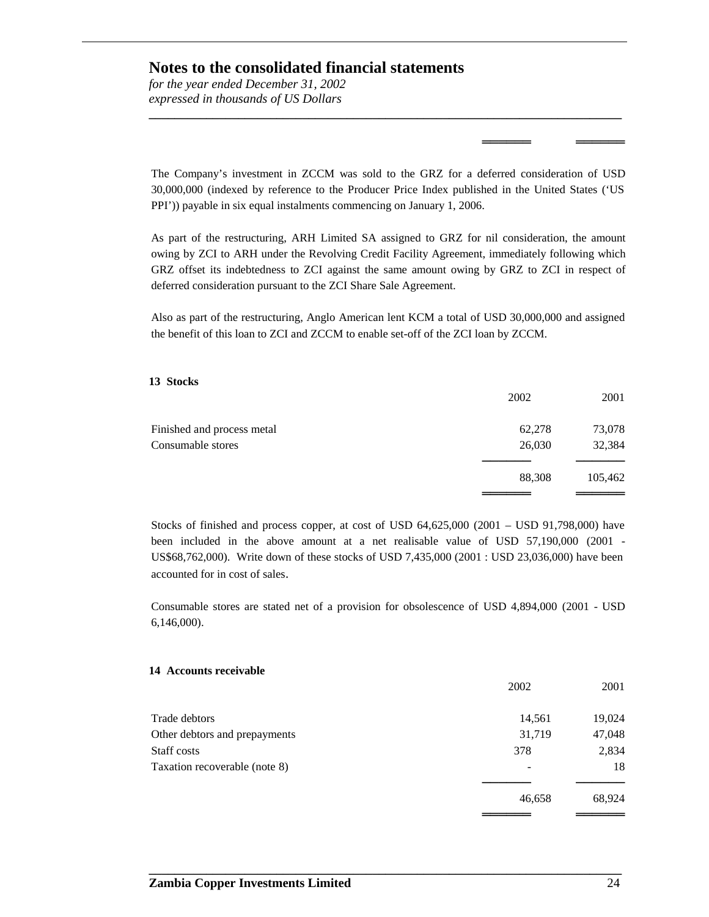*for the year ended December 31, 2002 expressed in thousands of US Dollars*

The Company's investment in ZCCM was sold to the GRZ for a deferred consideration of USD 30,000,000 (indexed by reference to the Producer Price Index published in the United States ('US PPI')) payable in six equal instalments commencing on January 1, 2006.

**\_\_\_\_\_\_\_\_\_\_\_\_\_\_\_\_\_\_\_\_\_\_\_\_\_\_\_\_\_\_\_\_\_\_\_\_\_\_\_\_\_\_\_\_\_\_\_\_\_\_\_\_\_\_\_\_\_\_\_\_\_\_\_\_\_\_\_\_\_\_\_\_\_\_**

══════ ══════

As part of the restructuring, ARH Limited SA assigned to GRZ for nil consideration, the amount owing by ZCI to ARH under the Revolving Credit Facility Agreement, immediately following which GRZ offset its indebtedness to ZCI against the same amount owing by GRZ to ZCI in respect of deferred consideration pursuant to the ZCI Share Sale Agreement.

Also as part of the restructuring, Anglo American lent KCM a total of USD 30,000,000 and assigned the benefit of this loan to ZCI and ZCCM to enable set-off of the ZCI loan by ZCCM.

#### **13 Stocks**

|                            | 2002   | 2001    |
|----------------------------|--------|---------|
| Finished and process metal | 62,278 | 73,078  |
| Consumable stores          | 26,030 | 32,384  |
|                            | 88,308 | 105,462 |
|                            |        |         |

Stocks of finished and process copper, at cost of USD 64,625,000 (2001 – USD 91,798,000) have been included in the above amount at a net realisable value of USD 57,190,000 (2001 - US\$68,762,000). Write down of these stocks of USD 7,435,000 (2001 : USD 23,036,000) have been accounted for in cost of sales.

Consumable stores are stated net of a provision for obsolescence of USD 4,894,000 (2001 - USD 6,146,000).

#### **14 Accounts receivable**

|                               | 2002   | 2001   |
|-------------------------------|--------|--------|
| Trade debtors                 | 14,561 | 19,024 |
| Other debtors and prepayments | 31,719 | 47,048 |
| Staff costs                   | 378    | 2,834  |
| Taxation recoverable (note 8) |        | 18     |
|                               | 46,658 | 68,924 |
|                               |        |        |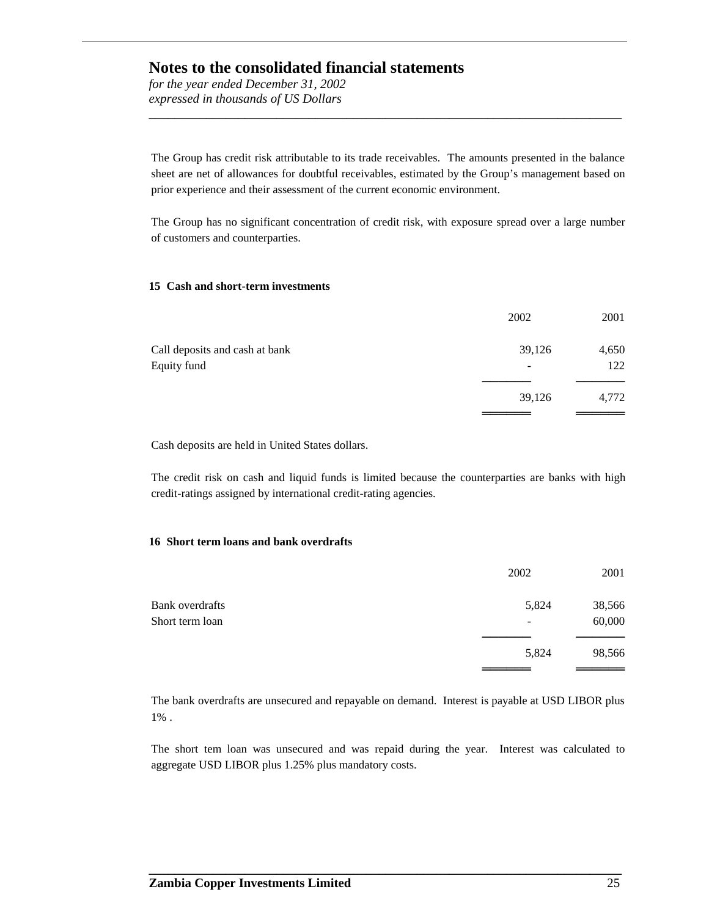*for the year ended December 31, 2002 expressed in thousands of US Dollars*

The Group has credit risk attributable to its trade receivables. The amounts presented in the balance sheet are net of allowances for doubtful receivables, estimated by the Group's management based on prior experience and their assessment of the current economic environment.

**\_\_\_\_\_\_\_\_\_\_\_\_\_\_\_\_\_\_\_\_\_\_\_\_\_\_\_\_\_\_\_\_\_\_\_\_\_\_\_\_\_\_\_\_\_\_\_\_\_\_\_\_\_\_\_\_\_\_\_\_\_\_\_\_\_\_\_\_\_\_\_\_\_\_**

The Group has no significant concentration of credit risk, with exposure spread over a large number of customers and counterparties.

#### **15 Cash and short-term investments**

|                                               | 2002   | 2001         |
|-----------------------------------------------|--------|--------------|
| Call deposits and cash at bank<br>Equity fund | 39,126 | 4,650<br>122 |
|                                               | 39,126 | 4,772        |

Cash deposits are held in United States dollars.

The credit risk on cash and liquid funds is limited because the counterparties are banks with high credit-ratings assigned by international credit-rating agencies.

#### **16 Short term loans and bank overdrafts**

|                 | 2002  | 2001   |
|-----------------|-------|--------|
| Bank overdrafts | 5,824 | 38,566 |
| Short term loan | -     | 60,000 |
|                 | 5,824 | 98,566 |
|                 |       |        |

The bank overdrafts are unsecured and repayable on demand. Interest is payable at USD LIBOR plus 1% .

The short tem loan was unsecured and was repaid during the year. Interest was calculated to aggregate USD LIBOR plus 1.25% plus mandatory costs.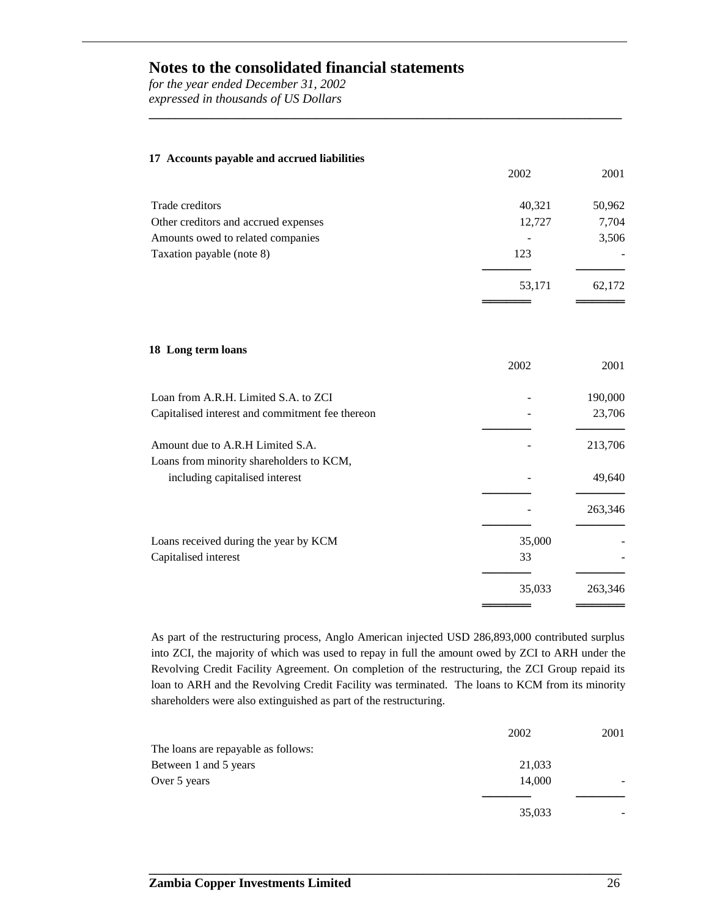*for the year ended December 31, 2002 expressed in thousands of US Dollars*

| 17 Accounts payable and accrued liabilities     |        |         |
|-------------------------------------------------|--------|---------|
|                                                 | 2002   | 2001    |
| Trade creditors                                 | 40,321 | 50,962  |
| Other creditors and accrued expenses            | 12,727 | 7,704   |
| Amounts owed to related companies               |        | 3,506   |
| Taxation payable (note 8)                       | 123    |         |
|                                                 |        |         |
|                                                 | 53,171 | 62,172  |
|                                                 |        |         |
| 18 Long term loans                              | 2002   | 2001    |
| Loan from A.R.H. Limited S.A. to ZCI            |        | 190,000 |
| Capitalised interest and commitment fee thereon |        | 23,706  |
| Amount due to A.R.H Limited S.A.                |        | 213,706 |
| Loans from minority shareholders to KCM,        |        |         |
| including capitalised interest                  |        | 49,640  |
|                                                 |        | 263,346 |
| Loans received during the year by KCM           | 35,000 |         |
| Capitalised interest                            | 33     |         |
|                                                 | 35,033 | 263,346 |

**\_\_\_\_\_\_\_\_\_\_\_\_\_\_\_\_\_\_\_\_\_\_\_\_\_\_\_\_\_\_\_\_\_\_\_\_\_\_\_\_\_\_\_\_\_\_\_\_\_\_\_\_\_\_\_\_\_\_\_\_\_\_\_\_\_\_\_\_\_\_\_\_\_\_**

As part of the restructuring process, Anglo American injected USD 286,893,000 contributed surplus into ZCI, the majority of which was used to repay in full the amount owed by ZCI to ARH under the Revolving Credit Facility Agreement. On completion of the restructuring, the ZCI Group repaid its loan to ARH and the Revolving Credit Facility was terminated. The loans to KCM from its minority shareholders were also extinguished as part of the restructuring.

|                                     | 2002   | 2001 |
|-------------------------------------|--------|------|
| The loans are repayable as follows: |        |      |
| Between 1 and 5 years               | 21,033 |      |
| Over 5 years                        | 14.000 |      |
|                                     |        |      |
|                                     | 35,033 |      |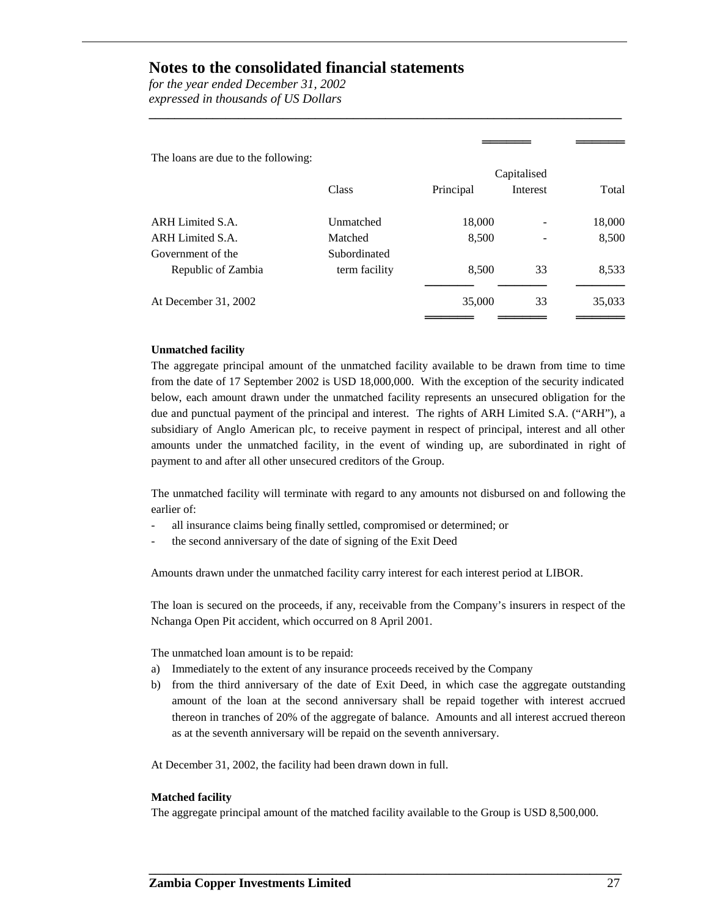*for the year ended December 31, 2002 expressed in thousands of US Dollars*

The loans are due to the following:

|                      | Capitalised   |           |          |        |
|----------------------|---------------|-----------|----------|--------|
|                      | Class         | Principal | Interest | Total  |
| ARH Limited S.A.     | Unmatched     | 18,000    |          | 18,000 |
| ARH Limited S.A.     | Matched       | 8,500     |          | 8,500  |
| Government of the    | Subordinated  |           |          |        |
| Republic of Zambia   | term facility | 8,500     | 33       | 8,533  |
| At December 31, 2002 |               | 35,000    | 33       | 35,033 |

**\_\_\_\_\_\_\_\_\_\_\_\_\_\_\_\_\_\_\_\_\_\_\_\_\_\_\_\_\_\_\_\_\_\_\_\_\_\_\_\_\_\_\_\_\_\_\_\_\_\_\_\_\_\_\_\_\_\_\_\_\_\_\_\_\_\_\_\_\_\_\_\_\_\_**

══════ ══════

#### **Unmatched facility**

The aggregate principal amount of the unmatched facility available to be drawn from time to time from the date of 17 September 2002 is USD 18,000,000. With the exception of the security indicated below, each amount drawn under the unmatched facility represents an unsecured obligation for the due and punctual payment of the principal and interest. The rights of ARH Limited S.A. ("ARH"), a subsidiary of Anglo American plc, to receive payment in respect of principal, interest and all other amounts under the unmatched facility, in the event of winding up, are subordinated in right of payment to and after all other unsecured creditors of the Group.

The unmatched facility will terminate with regard to any amounts not disbursed on and following the earlier of:

- all insurance claims being finally settled, compromised or determined; or
- the second anniversary of the date of signing of the Exit Deed

Amounts drawn under the unmatched facility carry interest for each interest period at LIBOR.

The loan is secured on the proceeds, if any, receivable from the Company's insurers in respect of the Nchanga Open Pit accident, which occurred on 8 April 2001.

The unmatched loan amount is to be repaid:

- a) Immediately to the extent of any insurance proceeds received by the Company
- b) from the third anniversary of the date of Exit Deed, in which case the aggregate outstanding amount of the loan at the second anniversary shall be repaid together with interest accrued thereon in tranches of 20% of the aggregate of balance. Amounts and all interest accrued thereon as at the seventh anniversary will be repaid on the seventh anniversary.

At December 31, 2002, the facility had been drawn down in full.

#### **Matched facility**

The aggregate principal amount of the matched facility available to the Group is USD 8,500,000.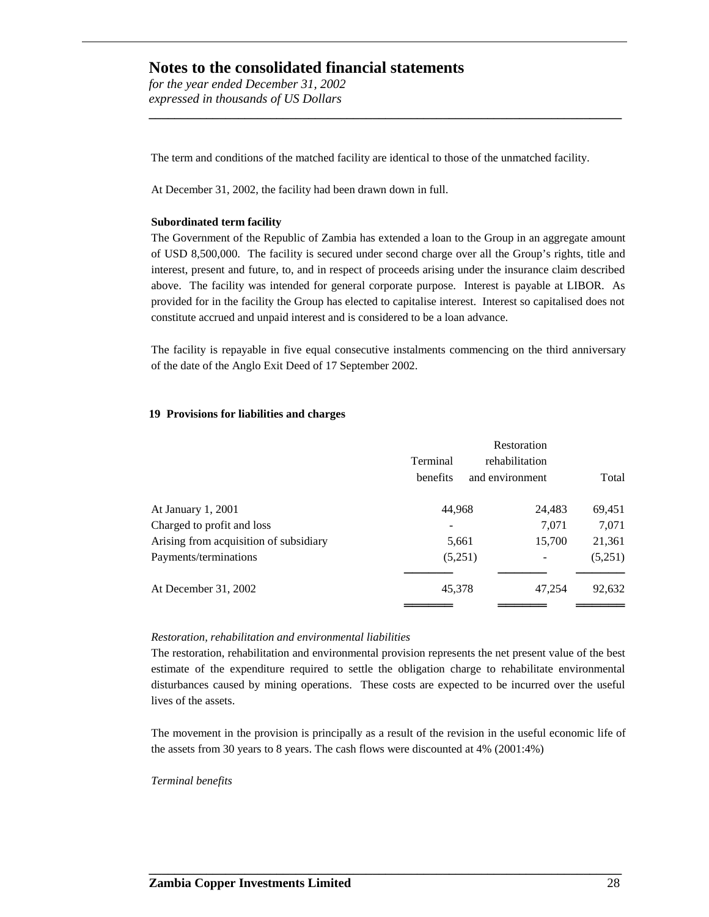*for the year ended December 31, 2002 expressed in thousands of US Dollars*

The term and conditions of the matched facility are identical to those of the unmatched facility.

**\_\_\_\_\_\_\_\_\_\_\_\_\_\_\_\_\_\_\_\_\_\_\_\_\_\_\_\_\_\_\_\_\_\_\_\_\_\_\_\_\_\_\_\_\_\_\_\_\_\_\_\_\_\_\_\_\_\_\_\_\_\_\_\_\_\_\_\_\_\_\_\_\_\_**

At December 31, 2002, the facility had been drawn down in full.

#### **Subordinated term facility**

The Government of the Republic of Zambia has extended a loan to the Group in an aggregate amount of USD 8,500,000. The facility is secured under second charge over all the Group's rights, title and interest, present and future, to, and in respect of proceeds arising under the insurance claim described above. The facility was intended for general corporate purpose. Interest is payable at LIBOR. As provided for in the facility the Group has elected to capitalise interest. Interest so capitalised does not constitute accrued and unpaid interest and is considered to be a loan advance.

The facility is repayable in five equal consecutive instalments commencing on the third anniversary of the date of the Anglo Exit Deed of 17 September 2002.

#### **19 Provisions for liabilities and charges**

|                                        | Terminal<br>benefits | and environment | Restoration<br>rehabilitation | Total   |
|----------------------------------------|----------------------|-----------------|-------------------------------|---------|
| At January 1, 2001                     | 44,968               |                 | 24,483                        | 69,451  |
| Charged to profit and loss             |                      |                 | 7,071                         | 7,071   |
| Arising from acquisition of subsidiary | 5,661                |                 | 15,700                        | 21,361  |
| Payments/terminations                  | (5,251)              |                 |                               | (5,251) |
| At December 31, 2002                   | 45,378               |                 | 47,254                        | 92,632  |

#### *Restoration, rehabilitation and environmental liabilities*

The restoration, rehabilitation and environmental provision represents the net present value of the best estimate of the expenditure required to settle the obligation charge to rehabilitate environmental disturbances caused by mining operations. These costs are expected to be incurred over the useful lives of the assets.

The movement in the provision is principally as a result of the revision in the useful economic life of the assets from 30 years to 8 years. The cash flows were discounted at 4% (2001:4%)

**\_\_\_\_\_\_\_\_\_\_\_\_\_\_\_\_\_\_\_\_\_\_\_\_\_\_\_\_\_\_\_\_\_\_\_\_\_\_\_\_\_\_\_\_\_\_\_\_\_\_\_\_\_\_\_\_\_\_\_\_\_\_\_\_\_\_\_\_\_\_\_\_\_\_**

#### *Terminal benefits*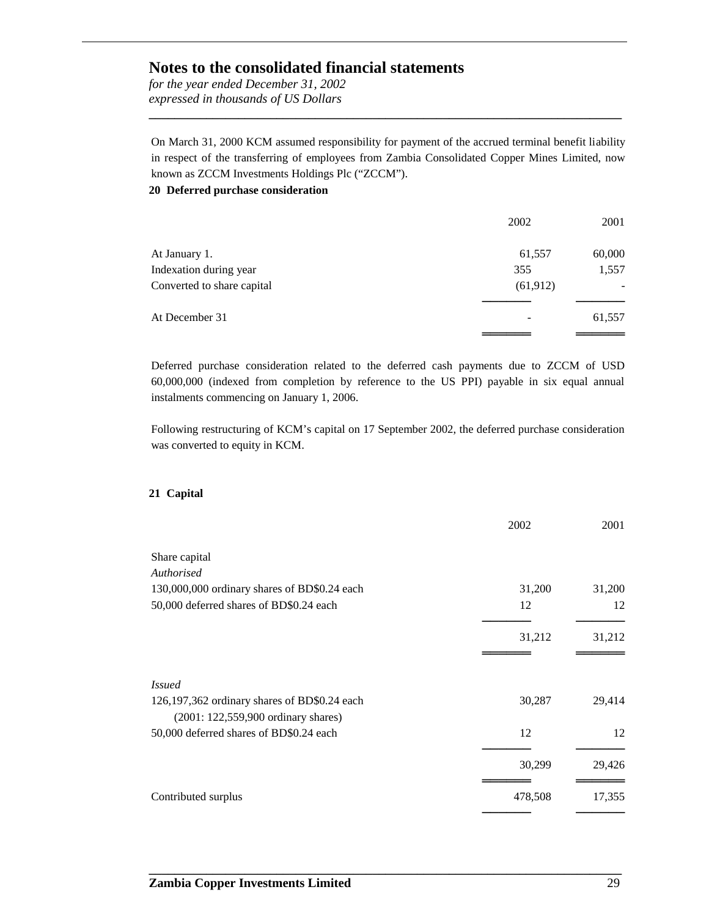*for the year ended December 31, 2002 expressed in thousands of US Dollars*

On March 31, 2000 KCM assumed responsibility for payment of the accrued terminal benefit liability in respect of the transferring of employees from Zambia Consolidated Copper Mines Limited, now known as ZCCM Investments Holdings Plc ("ZCCM"). **20 Deferred purchase consideration**

**\_\_\_\_\_\_\_\_\_\_\_\_\_\_\_\_\_\_\_\_\_\_\_\_\_\_\_\_\_\_\_\_\_\_\_\_\_\_\_\_\_\_\_\_\_\_\_\_\_\_\_\_\_\_\_\_\_\_\_\_\_\_\_\_\_\_\_\_\_\_\_\_\_\_**

|                            | 2002      | 2001   |
|----------------------------|-----------|--------|
| At January 1.              | 61,557    | 60,000 |
| Indexation during year     | 355       | 1,557  |
| Converted to share capital | (61, 912) |        |
| At December 31             |           | 61,557 |
|                            |           |        |

Deferred purchase consideration related to the deferred cash payments due to ZCCM of USD 60,000,000 (indexed from completion by reference to the US PPI) payable in six equal annual instalments commencing on January 1, 2006.

Following restructuring of KCM's capital on 17 September 2002, the deferred purchase consideration was converted to equity in KCM.

#### **21 Capital**

|                                                                                     | 2002    | 2001   |
|-------------------------------------------------------------------------------------|---------|--------|
| Share capital                                                                       |         |        |
| Authorised                                                                          |         |        |
| 130,000,000 ordinary shares of BD\$0.24 each                                        | 31,200  | 31,200 |
| 50,000 deferred shares of BD\$0.24 each                                             | 12      | 12     |
|                                                                                     | 31,212  | 31,212 |
| <i>Issued</i>                                                                       |         |        |
| 126,197,362 ordinary shares of BD\$0.24 each<br>(2001: 122,559,900 ordinary shares) | 30,287  | 29,414 |
| 50,000 deferred shares of BD\$0.24 each                                             | 12      | 12     |
|                                                                                     | 30,299  | 29,426 |
| Contributed surplus                                                                 | 478,508 | 17,355 |
|                                                                                     |         |        |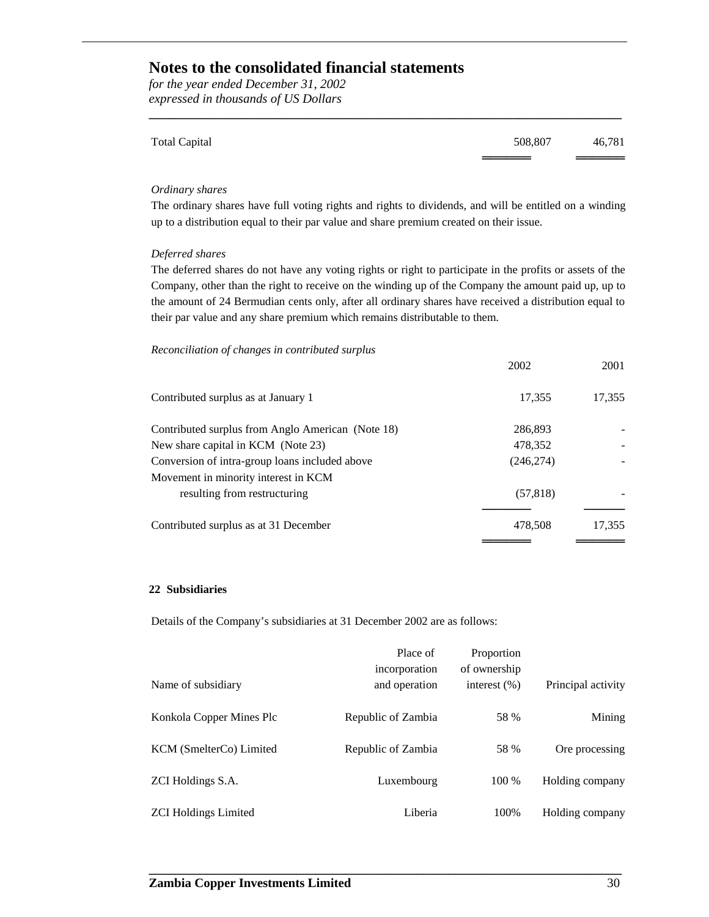*for the year ended December 31, 2002 expressed in thousands of US Dollars*

| <b>Total Capital</b> | 508,807 | 46,781 |
|----------------------|---------|--------|
|                      |         |        |

**\_\_\_\_\_\_\_\_\_\_\_\_\_\_\_\_\_\_\_\_\_\_\_\_\_\_\_\_\_\_\_\_\_\_\_\_\_\_\_\_\_\_\_\_\_\_\_\_\_\_\_\_\_\_\_\_\_\_\_\_\_\_\_\_\_\_\_\_\_\_\_\_\_\_**

#### *Ordinary shares*

The ordinary shares have full voting rights and rights to dividends, and will be entitled on a winding up to a distribution equal to their par value and share premium created on their issue.

#### *Deferred shares*

The deferred shares do not have any voting rights or right to participate in the profits or assets of the Company, other than the right to receive on the winding up of the Company the amount paid up, up to the amount of 24 Bermudian cents only, after all ordinary shares have received a distribution equal to their par value and any share premium which remains distributable to them.

#### *Reconciliation of changes in contributed surplus*

|                                                   | 2002       | 2001   |
|---------------------------------------------------|------------|--------|
| Contributed surplus as at January 1               | 17,355     | 17,355 |
| Contributed surplus from Anglo American (Note 18) | 286,893    |        |
| New share capital in KCM (Note 23)                | 478,352    |        |
| Conversion of intra-group loans included above    | (246, 274) |        |
| Movement in minority interest in KCM              |            |        |
| resulting from restructuring                      | (57, 818)  |        |
| Contributed surplus as at 31 December             | 478.508    | 17,355 |
|                                                   |            |        |

#### **22 Subsidiaries**

Details of the Company's subsidiaries at 31 December 2002 are as follows:

|                             | Place of<br>incorporation | Proportion<br>of ownership |                    |
|-----------------------------|---------------------------|----------------------------|--------------------|
| Name of subsidiary          | and operation             | interest $(\% )$           | Principal activity |
| Konkola Copper Mines Plc    | Republic of Zambia        | 58 %                       | Mining             |
| KCM (SmelterCo) Limited     | Republic of Zambia        | 58 %                       | Ore processing     |
| ZCI Holdings S.A.           | Luxembourg                | 100 %                      | Holding company    |
| <b>ZCI Holdings Limited</b> | Liberia                   | 100%                       | Holding company    |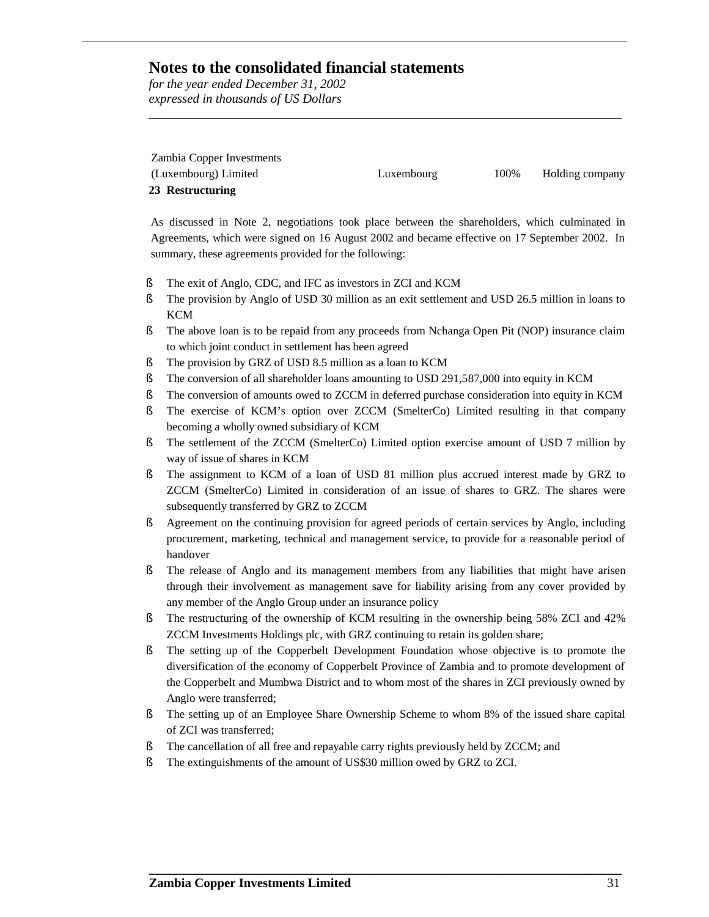*for the year ended December 31, 2002 expressed in thousands of US Dollars*

| Zambia Copper Investments |            |      |                 |
|---------------------------|------------|------|-----------------|
| (Luxembourg) Limited      | Luxembourg | 100% | Holding company |
| 23 Restructuring          |            |      |                 |

**\_\_\_\_\_\_\_\_\_\_\_\_\_\_\_\_\_\_\_\_\_\_\_\_\_\_\_\_\_\_\_\_\_\_\_\_\_\_\_\_\_\_\_\_\_\_\_\_\_\_\_\_\_\_\_\_\_\_\_\_\_\_\_\_\_\_\_\_\_\_\_\_\_\_**

As discussed in Note 2, negotiations took place between the shareholders, which culminated in Agreements, which were signed on 16 August 2002 and became effective on 17 September 2002. In summary, these agreements provided for the following:

- § The exit of Anglo, CDC, and IFC as investors in ZCI and KCM
- § The provision by Anglo of USD 30 million as an exit settlement and USD 26.5 million in loans to **KCM**
- § The above loan is to be repaid from any proceeds from Nchanga Open Pit (NOP) insurance claim to which joint conduct in settlement has been agreed
- § The provision by GRZ of USD 8.5 million as a loan to KCM
- § The conversion of all shareholder loans amounting to USD 291,587,000 into equity in KCM
- § The conversion of amounts owed to ZCCM in deferred purchase consideration into equity in KCM
- § The exercise of KCM's option over ZCCM (SmelterCo) Limited resulting in that company becoming a wholly owned subsidiary of KCM
- § The settlement of the ZCCM (SmelterCo) Limited option exercise amount of USD 7 million by way of issue of shares in KCM
- § The assignment to KCM of a loan of USD 81 million plus accrued interest made by GRZ to ZCCM (SmelterCo) Limited in consideration of an issue of shares to GRZ. The shares were subsequently transferred by GRZ to ZCCM
- § Agreement on the continuing provision for agreed periods of certain services by Anglo, including procurement, marketing, technical and management service, to provide for a reasonable period of handover
- § The release of Anglo and its management members from any liabilities that might have arisen through their involvement as management save for liability arising from any cover provided by any member of the Anglo Group under an insurance policy
- § The restructuring of the ownership of KCM resulting in the ownership being 58% ZCI and 42% ZCCM Investments Holdings plc, with GRZ continuing to retain its golden share;
- § The setting up of the Copperbelt Development Foundation whose objective is to promote the diversification of the economy of Copperbelt Province of Zambia and to promote development of the Copperbelt and Mumbwa District and to whom most of the shares in ZCI previously owned by Anglo were transferred;
- § The setting up of an Employee Share Ownership Scheme to whom 8% of the issued share capital of ZCI was transferred;

- § The cancellation of all free and repayable carry rights previously held by ZCCM; and
- § The extinguishments of the amount of US\$30 million owed by GRZ to ZCI.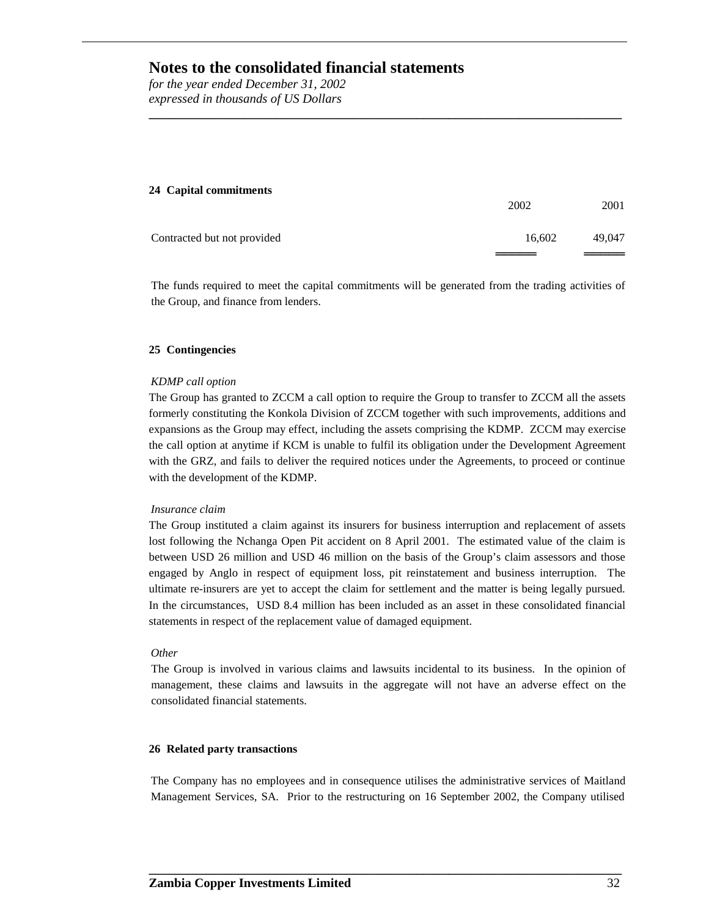*for the year ended December 31, 2002 expressed in thousands of US Dollars*

## **24 Capital commitments** 2002 2001 Contracted but not provided 16,602 49,047 ════════<br>══════════

**\_\_\_\_\_\_\_\_\_\_\_\_\_\_\_\_\_\_\_\_\_\_\_\_\_\_\_\_\_\_\_\_\_\_\_\_\_\_\_\_\_\_\_\_\_\_\_\_\_\_\_\_\_\_\_\_\_\_\_\_\_\_\_\_\_\_\_\_\_\_\_\_\_\_**

The funds required to meet the capital commitments will be generated from the trading activities of the Group, and finance from lenders.

#### **25 Contingencies**

#### *KDMP call option*

The Group has granted to ZCCM a call option to require the Group to transfer to ZCCM all the assets formerly constituting the Konkola Division of ZCCM together with such improvements, additions and expansions as the Group may effect, including the assets comprising the KDMP. ZCCM may exercise the call option at anytime if KCM is unable to fulfil its obligation under the Development Agreement with the GRZ, and fails to deliver the required notices under the Agreements, to proceed or continue with the development of the KDMP.

#### *Insurance claim*

The Group instituted a claim against its insurers for business interruption and replacement of assets lost following the Nchanga Open Pit accident on 8 April 2001. The estimated value of the claim is between USD 26 million and USD 46 million on the basis of the Group's claim assessors and those engaged by Anglo in respect of equipment loss, pit reinstatement and business interruption. The ultimate re-insurers are yet to accept the claim for settlement and the matter is being legally pursued. In the circumstances, USD 8.4 million has been included as an asset in these consolidated financial statements in respect of the replacement value of damaged equipment.

#### *Other*

The Group is involved in various claims and lawsuits incidental to its business. In the opinion of management, these claims and lawsuits in the aggregate will not have an adverse effect on the consolidated financial statements.

#### **26 Related party transactions**

The Company has no employees and in consequence utilises the administrative services of Maitland Management Services, SA. Prior to the restructuring on 16 September 2002, the Company utilised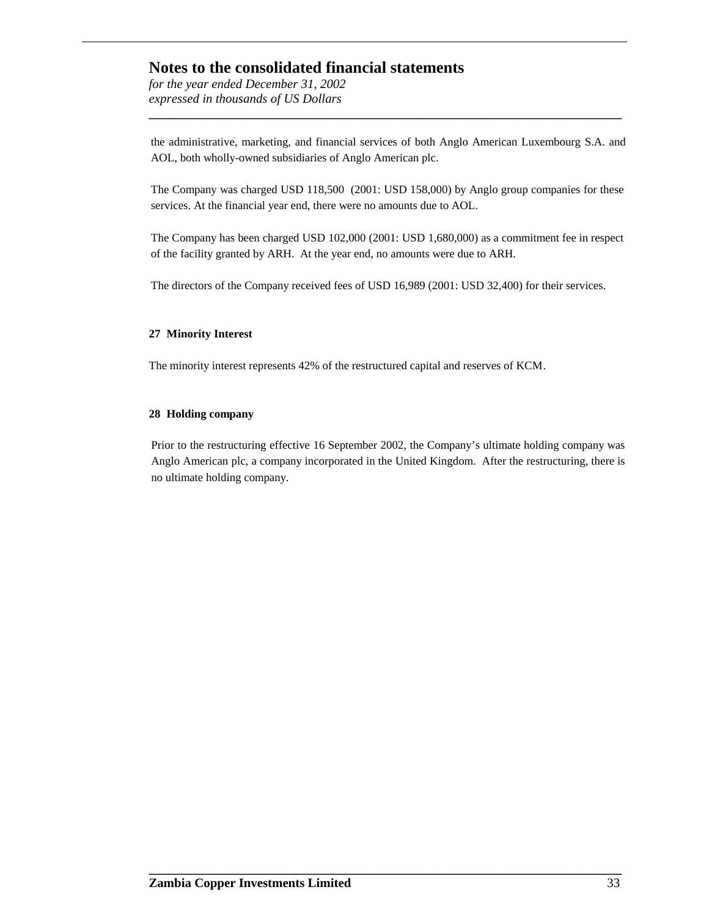*for the year ended December 31, 2002 expressed in thousands of US Dollars*

the administrative, marketing, and financial services of both Anglo American Luxembourg S.A. and AOL, both wholly-owned subsidiaries of Anglo American plc.

**\_\_\_\_\_\_\_\_\_\_\_\_\_\_\_\_\_\_\_\_\_\_\_\_\_\_\_\_\_\_\_\_\_\_\_\_\_\_\_\_\_\_\_\_\_\_\_\_\_\_\_\_\_\_\_\_\_\_\_\_\_\_\_\_\_\_\_\_\_\_\_\_\_\_**

The Company was charged USD 118,500 (2001: USD 158,000) by Anglo group companies for these services. At the financial year end, there were no amounts due to AOL.

The Company has been charged USD 102,000 (2001: USD 1,680,000) as a commitment fee in respect of the facility granted by ARH. At the year end, no amounts were due to ARH.

The directors of the Company received fees of USD 16,989 (2001: USD 32,400) for their services.

#### **27 Minority Interest**

The minority interest represents 42% of the restructured capital and reserves of KCM.

#### **28 Holding company**

Prior to the restructuring effective 16 September 2002, the Company's ultimate holding company was Anglo American plc, a company incorporated in the United Kingdom. After the restructuring, there is no ultimate holding company.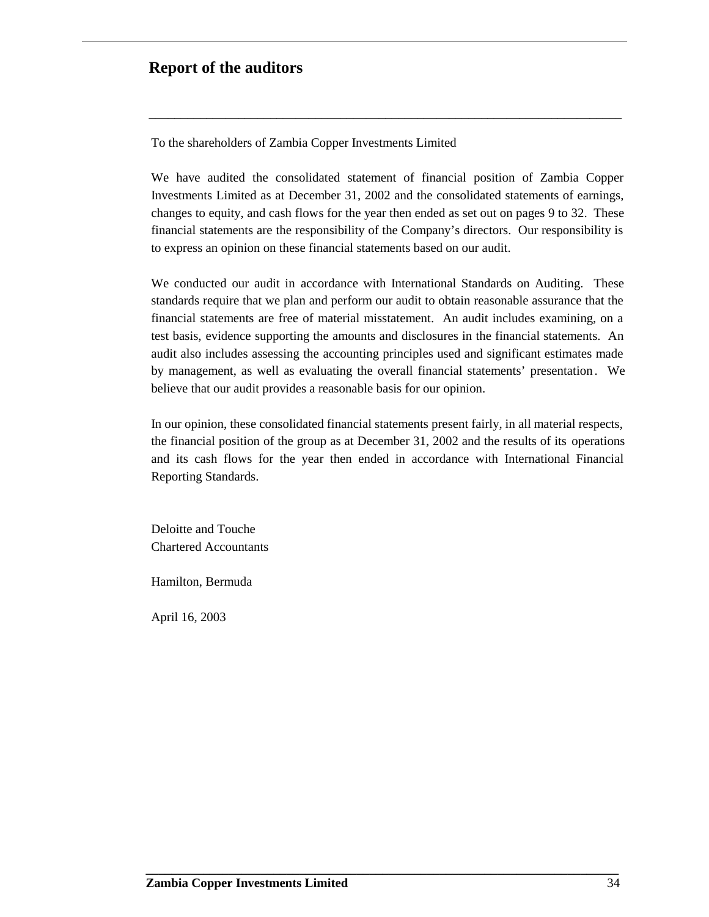### **Report of the auditors**

To the shareholders of Zambia Copper Investments Limited

We have audited the consolidated statement of financial position of Zambia Copper Investments Limited as at December 31, 2002 and the consolidated statements of earnings, changes to equity, and cash flows for the year then ended as set out on pages 9 to 32. These financial statements are the responsibility of the Company's directors. Our responsibility is to express an opinion on these financial statements based on our audit.

**\_\_\_\_\_\_\_\_\_\_\_\_\_\_\_\_\_\_\_\_\_\_\_\_\_\_\_\_\_\_\_\_\_\_\_\_\_\_\_\_\_\_\_\_\_\_\_\_\_\_\_\_\_\_\_\_\_\_\_\_\_\_\_\_\_\_\_\_\_\_\_\_\_\_**

We conducted our audit in accordance with International Standards on Auditing. These standards require that we plan and perform our audit to obtain reasonable assurance that the financial statements are free of material misstatement. An audit includes examining, on a test basis, evidence supporting the amounts and disclosures in the financial statements. An audit also includes assessing the accounting principles used and significant estimates made by management, as well as evaluating the overall financial statements' presentation . We believe that our audit provides a reasonable basis for our opinion.

In our opinion, these consolidated financial statements present fairly, in all material respects, the financial position of the group as at December 31, 2002 and the results of its operations and its cash flows for the year then ended in accordance with International Financial Reporting Standards.

**\_\_\_\_\_\_\_\_\_\_\_\_\_\_\_\_\_\_\_\_\_\_\_\_\_\_\_\_\_\_\_\_\_\_\_\_\_\_\_\_\_\_\_\_\_\_\_\_\_\_\_\_\_\_\_\_\_\_\_\_\_\_\_\_\_\_\_\_\_\_\_\_\_\_**

Deloitte and Touche Chartered Accountants

Hamilton, Bermuda

April 16, 2003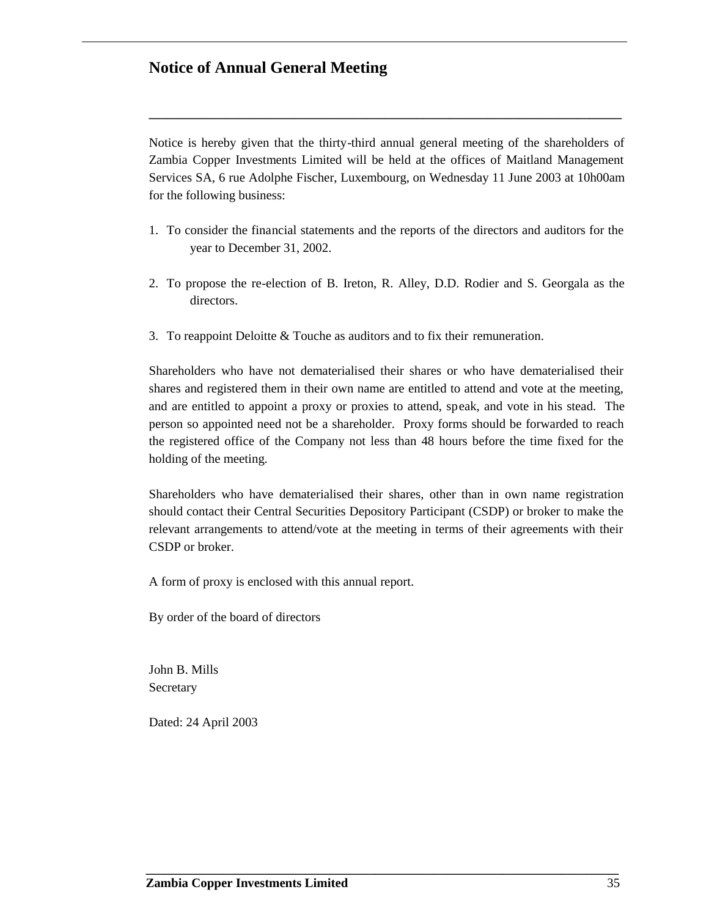### **Notice of Annual General Meeting**

Notice is hereby given that the thirty-third annual general meeting of the shareholders of Zambia Copper Investments Limited will be held at the offices of Maitland Management Services SA, 6 rue Adolphe Fischer, Luxembourg, on Wednesday 11 June 2003 at 10h00am for the following business:

**\_\_\_\_\_\_\_\_\_\_\_\_\_\_\_\_\_\_\_\_\_\_\_\_\_\_\_\_\_\_\_\_\_\_\_\_\_\_\_\_\_\_\_\_\_\_\_\_\_\_\_\_\_\_\_\_\_\_\_\_\_\_\_\_\_\_\_\_\_\_\_\_\_\_**

- 1. To consider the financial statements and the reports of the directors and auditors for the year to December 31, 2002.
- 2. To propose the re-election of B. Ireton, R. Alley, D.D. Rodier and S. Georgala as the directors.
- 3. To reappoint Deloitte & Touche as auditors and to fix their remuneration.

Shareholders who have not dematerialised their shares or who have dematerialised their shares and registered them in their own name are entitled to attend and vote at the meeting, and are entitled to appoint a proxy or proxies to attend, speak, and vote in his stead. The person so appointed need not be a shareholder. Proxy forms should be forwarded to reach the registered office of the Company not less than 48 hours before the time fixed for the holding of the meeting.

Shareholders who have dematerialised their shares, other than in own name registration should contact their Central Securities Depository Participant (CSDP) or broker to make the relevant arrangements to attend/vote at the meeting in terms of their agreements with their CSDP or broker.

**\_\_\_\_\_\_\_\_\_\_\_\_\_\_\_\_\_\_\_\_\_\_\_\_\_\_\_\_\_\_\_\_\_\_\_\_\_\_\_\_\_\_\_\_\_\_\_\_\_\_\_\_\_\_\_\_\_\_\_\_\_\_\_\_\_\_\_\_\_\_\_\_\_\_**

A form of proxy is enclosed with this annual report.

By order of the board of directors

John B. Mills Secretary

Dated: 24 April 2003